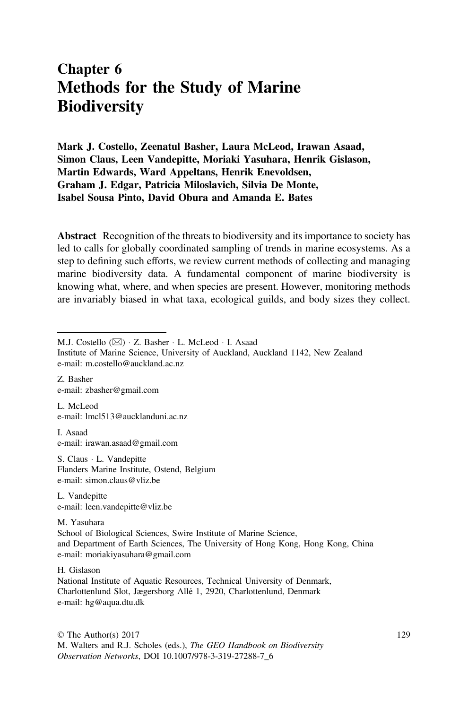# Chapter 6 Methods for the Study of Marine **Biodiversity**

Mark J. Costello, Zeenatul Basher, Laura McLeod, Irawan Asaad, Simon Claus, Leen Vandepitte, Moriaki Yasuhara, Henrik Gislason, Martin Edwards, Ward Appeltans, Henrik Enevoldsen, Graham J. Edgar, Patricia Miloslavich, Silvia De Monte, Isabel Sousa Pinto, David Obura and Amanda E. Bates

Abstract Recognition of the threats to biodiversity and its importance to society has led to calls for globally coordinated sampling of trends in marine ecosystems. As a step to defining such efforts, we review current methods of collecting and managing marine biodiversity data. A fundamental component of marine biodiversity is knowing what, where, and when species are present. However, monitoring methods are invariably biased in what taxa, ecological guilds, and body sizes they collect.

Z. Basher e-mail: zbasher@gmail.com

L. McLeod e-mail: lmcl513@aucklanduni.ac.nz

I. Asaad e-mail: irawan.asaad@gmail.com

S. Claus · L. Vandepitte Flanders Marine Institute, Ostend, Belgium e-mail: simon.claus@vliz.be

L. Vandepitte e-mail: leen.vandepitte@vliz.be

M. Yasuhara School of Biological Sciences, Swire Institute of Marine Science, and Department of Earth Sciences, The University of Hong Kong, Hong Kong, China e-mail: moriakiyasuhara@gmail.com

H. Gislason National Institute of Aquatic Resources, Technical University of Denmark, Charlottenlund Slot, Jægersborg Allé 1, 2920, Charlottenlund, Denmark e-mail: hg@aqua.dtu.dk

M.J. Costello (⊠) · Z. Basher · L. McLeod · I. Asaad

Institute of Marine Science, University of Auckland, Auckland 1142, New Zealand e-mail: m.costello@auckland.ac.nz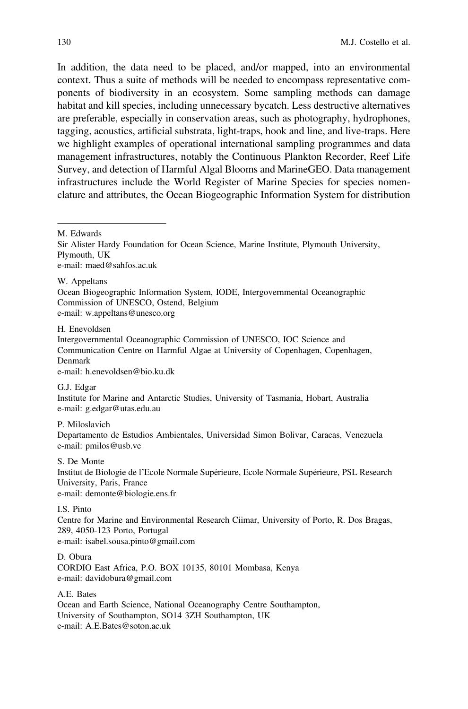In addition, the data need to be placed, and/or mapped, into an environmental context. Thus a suite of methods will be needed to encompass representative components of biodiversity in an ecosystem. Some sampling methods can damage habitat and kill species, including unnecessary bycatch. Less destructive alternatives are preferable, especially in conservation areas, such as photography, hydrophones, tagging, acoustics, artificial substrata, light-traps, hook and line, and live-traps. Here we highlight examples of operational international sampling programmes and data management infrastructures, notably the Continuous Plankton Recorder, Reef Life Survey, and detection of Harmful Algal Blooms and MarineGEO. Data management infrastructures include the World Register of Marine Species for species nomenclature and attributes, the Ocean Biogeographic Information System for distribution

M. Edwards

Sir Alister Hardy Foundation for Ocean Science, Marine Institute, Plymouth University, Plymouth, UK e-mail: maed@sahfos.ac.uk

W. Appeltans Ocean Biogeographic Information System, IODE, Intergovernmental Oceanographic Commission of UNESCO, Ostend, Belgium e-mail: w.appeltans@unesco.org

H. Enevoldsen

Intergovernmental Oceanographic Commission of UNESCO, IOC Science and Communication Centre on Harmful Algae at University of Copenhagen, Copenhagen, Denmark

e-mail: h.enevoldsen@bio.ku.dk

G.J. Edgar

Institute for Marine and Antarctic Studies, University of Tasmania, Hobart, Australia e-mail: g.edgar@utas.edu.au

P. Miloslavich Departamento de Estudios Ambientales, Universidad Simon Bolivar, Caracas, Venezuela e-mail: pmilos@usb.ve

S. De Monte Institut de Biologie de l'Ecole Normale Supérieure, Ecole Normale Supérieure, PSL Research University, Paris, France e-mail: demonte@biologie.ens.fr

I.S. Pinto Centre for Marine and Environmental Research Ciimar, University of Porto, R. Dos Bragas, 289, 4050-123 Porto, Portugal e-mail: isabel.sousa.pinto@gmail.com

D. Obura CORDIO East Africa, P.O. BOX 10135, 80101 Mombasa, Kenya e-mail: davidobura@gmail.com

A.E. Bates Ocean and Earth Science, National Oceanography Centre Southampton, University of Southampton, SO14 3ZH Southampton, UK e-mail: A.E.Bates@soton.ac.uk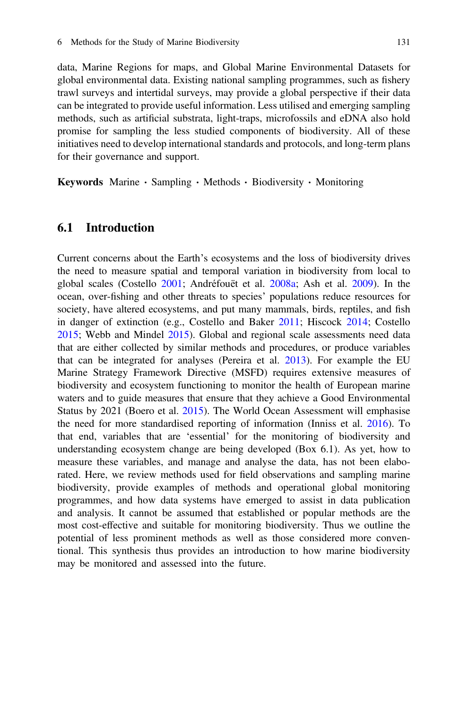data, Marine Regions for maps, and Global Marine Environmental Datasets for global environmental data. Existing national sampling programmes, such as fishery trawl surveys and intertidal surveys, may provide a global perspective if their data can be integrated to provide useful information. Less utilised and emerging sampling methods, such as artificial substrata, light-traps, microfossils and eDNA also hold promise for sampling the less studied components of biodiversity. All of these initiatives need to develop international standards and protocols, and long-term plans for their governance and support.

Keywords Marine · Sampling · Methods · Biodiversity · Monitoring

#### 6.1 Introduction

Current concerns about the Earth's ecosystems and the loss of biodiversity drives the need to measure spatial and temporal variation in biodiversity from local to global scales (Costello [2001](#page-28-0); Andréfouët et al. [2008a;](#page-26-0) Ash et al. [2009\)](#page-27-0). In the ocean, over-fishing and other threats to species' populations reduce resources for society, have altered ecosystems, and put many mammals, birds, reptiles, and fish in danger of extinction (e.g., Costello and Baker [2011;](#page-28-0) Hiscock [2014;](#page-31-0) Costello [2015;](#page-28-0) Webb and Mindel [2015\)](#page-34-0). Global and regional scale assessments need data that are either collected by similar methods and procedures, or produce variables that can be integrated for analyses (Pereira et al. [2013\)](#page-32-0). For example the EU Marine Strategy Framework Directive (MSFD) requires extensive measures of biodiversity and ecosystem functioning to monitor the health of European marine waters and to guide measures that ensure that they achieve a Good Environmental Status by 2021 (Boero et al. [2015](#page-28-0)). The World Ocean Assessment will emphasise the need for more standardised reporting of information (Inniss et al. [2016\)](#page-31-0). To that end, variables that are 'essential' for the monitoring of biodiversity and understanding ecosystem change are being developed (Box 6.1). As yet, how to measure these variables, and manage and analyse the data, has not been elaborated. Here, we review methods used for field observations and sampling marine biodiversity, provide examples of methods and operational global monitoring programmes, and how data systems have emerged to assist in data publication and analysis. It cannot be assumed that established or popular methods are the most cost-effective and suitable for monitoring biodiversity. Thus we outline the potential of less prominent methods as well as those considered more conventional. This synthesis thus provides an introduction to how marine biodiversity may be monitored and assessed into the future.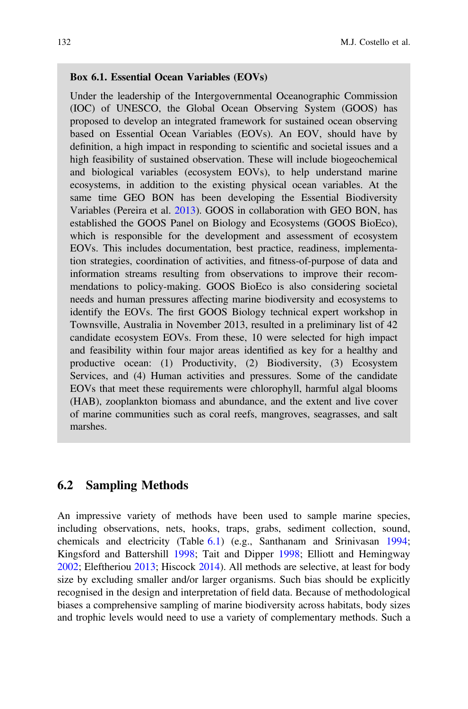#### Box 6.1. Essential Ocean Variables (EOVs)

Under the leadership of the Intergovernmental Oceanographic Commission (IOC) of UNESCO, the Global Ocean Observing System (GOOS) has proposed to develop an integrated framework for sustained ocean observing based on Essential Ocean Variables (EOVs). An EOV, should have by definition, a high impact in responding to scientific and societal issues and a high feasibility of sustained observation. These will include biogeochemical and biological variables (ecosystem EOVs), to help understand marine ecosystems, in addition to the existing physical ocean variables. At the same time GEO BON has been developing the Essential Biodiversity Variables (Pereira et al. [2013\)](#page-32-0). GOOS in collaboration with GEO BON, has established the GOOS Panel on Biology and Ecosystems (GOOS BioEco), which is responsible for the development and assessment of ecosystem EOVs. This includes documentation, best practice, readiness, implementation strategies, coordination of activities, and fitness-of-purpose of data and information streams resulting from observations to improve their recommendations to policy-making. GOOS BioEco is also considering societal needs and human pressures affecting marine biodiversity and ecosystems to identify the EOVs. The first GOOS Biology technical expert workshop in Townsville, Australia in November 2013, resulted in a preliminary list of 42 candidate ecosystem EOVs. From these, 10 were selected for high impact and feasibility within four major areas identified as key for a healthy and productive ocean: (1) Productivity, (2) Biodiversity, (3) Ecosystem Services, and (4) Human activities and pressures. Some of the candidate EOVs that meet these requirements were chlorophyll, harmful algal blooms (HAB), zooplankton biomass and abundance, and the extent and live cover of marine communities such as coral reefs, mangroves, seagrasses, and salt marshes.

#### 6.2 Sampling Methods

An impressive variety of methods have been used to sample marine species, including observations, nets, hooks, traps, grabs, sediment collection, sound, chemicals and electricity (Table [6.1](#page-4-0)) (e.g., Santhanam and Srinivasan [1994;](#page-33-0) Kingsford and Battershill [1998](#page-31-0); Tait and Dipper [1998;](#page-33-0) Elliott and Hemingway [2002;](#page-30-0) Eleftheriou [2013](#page-30-0); Hiscock [2014\)](#page-31-0). All methods are selective, at least for body size by excluding smaller and/or larger organisms. Such bias should be explicitly recognised in the design and interpretation of field data. Because of methodological biases a comprehensive sampling of marine biodiversity across habitats, body sizes and trophic levels would need to use a variety of complementary methods. Such a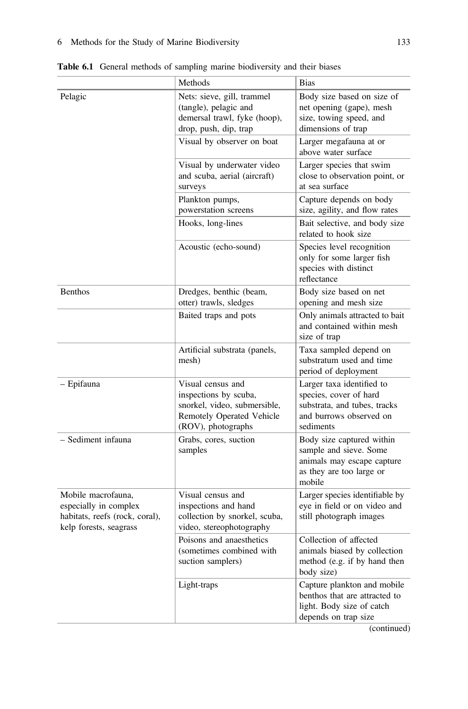# <span id="page-4-0"></span>6 Methods for the Study of Marine Biodiversity 133

|                                                                                                         | Methods                                                                                                                       | <b>Bias</b>                                                                                                                 |  |  |  |  |  |  |
|---------------------------------------------------------------------------------------------------------|-------------------------------------------------------------------------------------------------------------------------------|-----------------------------------------------------------------------------------------------------------------------------|--|--|--|--|--|--|
| Pelagic                                                                                                 | Nets: sieve, gill, trammel<br>(tangle), pelagic and<br>demersal trawl, fyke (hoop),<br>drop, push, dip, trap                  | Body size based on size of<br>net opening (gape), mesh<br>size, towing speed, and<br>dimensions of trap                     |  |  |  |  |  |  |
|                                                                                                         | Visual by observer on boat                                                                                                    | Larger megafauna at or<br>above water surface                                                                               |  |  |  |  |  |  |
|                                                                                                         | Visual by underwater video<br>and scuba, aerial (aircraft)<br>surveys                                                         | Larger species that swim<br>close to observation point, or<br>at sea surface                                                |  |  |  |  |  |  |
|                                                                                                         | Plankton pumps,<br>powerstation screens                                                                                       | Capture depends on body<br>size, agility, and flow rates                                                                    |  |  |  |  |  |  |
|                                                                                                         | Hooks, long-lines                                                                                                             | Bait selective, and body size<br>related to hook size                                                                       |  |  |  |  |  |  |
|                                                                                                         | Acoustic (echo-sound)                                                                                                         | Species level recognition<br>only for some larger fish<br>species with distinct<br>reflectance                              |  |  |  |  |  |  |
| <b>Benthos</b>                                                                                          | Dredges, benthic (beam,<br>otter) trawls, sledges                                                                             | Body size based on net<br>opening and mesh size                                                                             |  |  |  |  |  |  |
|                                                                                                         | Baited traps and pots                                                                                                         | Only animals attracted to bait<br>and contained within mesh<br>size of trap                                                 |  |  |  |  |  |  |
|                                                                                                         | Artificial substrata (panels,<br>mesh)                                                                                        | Taxa sampled depend on<br>substratum used and time<br>period of deployment                                                  |  |  |  |  |  |  |
| - Epifauna                                                                                              | Visual census and<br>inspections by scuba,<br>snorkel, video, submersible,<br>Remotely Operated Vehicle<br>(ROV), photographs | Larger taxa identified to<br>species, cover of hard<br>substrata, and tubes, tracks<br>and burrows observed on<br>sediments |  |  |  |  |  |  |
| - Sediment infauna                                                                                      | Grabs, cores, suction<br>samples                                                                                              | Body size captured within<br>sample and sieve. Some<br>animals may escape capture<br>as they are too large or<br>mobile     |  |  |  |  |  |  |
| Mobile macrofauna,<br>especially in complex<br>habitats, reefs (rock, coral),<br>kelp forests, seagrass | Visual census and<br>inspections and hand<br>collection by snorkel, scuba,<br>video, stereophotography                        | Larger species identifiable by<br>eye in field or on video and<br>still photograph images                                   |  |  |  |  |  |  |
|                                                                                                         | Poisons and anaesthetics<br>(sometimes combined with<br>suction samplers)                                                     | Collection of affected<br>animals biased by collection<br>method (e.g. if by hand then<br>body size)                        |  |  |  |  |  |  |
|                                                                                                         | Light-traps                                                                                                                   | Capture plankton and mobile<br>benthos that are attracted to<br>light. Body size of catch<br>depends on trap size           |  |  |  |  |  |  |

Table 6.1 General methods of sampling marine biodiversity and their biases

(continued)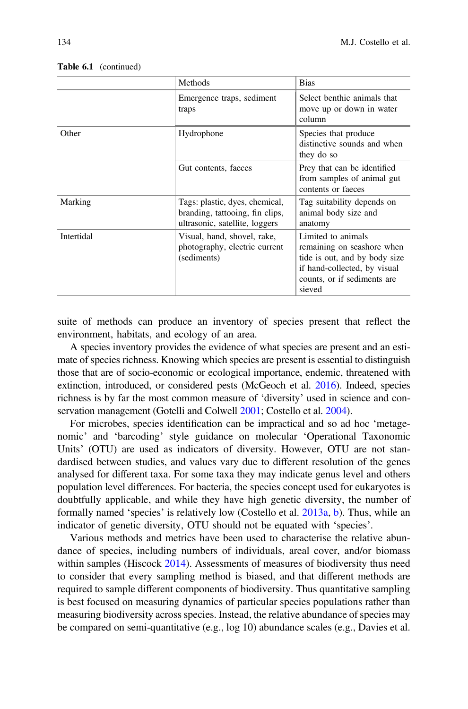|            | Methods                                                                                             | <b>Bias</b>                                                                                                                                                |  |  |  |  |  |
|------------|-----------------------------------------------------------------------------------------------------|------------------------------------------------------------------------------------------------------------------------------------------------------------|--|--|--|--|--|
|            | Emergence traps, sediment<br>traps                                                                  | Select benthic animals that<br>move up or down in water<br>column                                                                                          |  |  |  |  |  |
| Other      | Hydrophone                                                                                          | Species that produce<br>distinctive sounds and when<br>they do so                                                                                          |  |  |  |  |  |
|            | Gut contents, faeces                                                                                | Prey that can be identified<br>from samples of animal gut<br>contents or faeces                                                                            |  |  |  |  |  |
| Marking    | Tags: plastic, dyes, chemical,<br>branding, tattooing, fin clips,<br>ultrasonic, satellite, loggers | Tag suitability depends on<br>animal body size and<br>anatomy                                                                                              |  |  |  |  |  |
| Intertidal | Visual, hand, shovel, rake,<br>photography, electric current<br>(sediments)                         | Limited to animals<br>remaining on seashore when<br>tide is out, and by body size<br>if hand-collected, by visual<br>counts, or if sediments are<br>sieved |  |  |  |  |  |

#### Table 6.1 (continued)

suite of methods can produce an inventory of species present that reflect the environment, habitats, and ecology of an area.

A species inventory provides the evidence of what species are present and an estimate of species richness. Knowing which species are present is essential to distinguish those that are of socio-economic or ecological importance, endemic, threatened with extinction, introduced, or considered pests (McGeoch et al. [2016\)](#page-32-0). Indeed, species richness is by far the most common measure of 'diversity' used in science and conservation management (Gotelli and Colwell [2001](#page-31-0); Costello et al. [2004\)](#page-29-0).

For microbes, species identification can be impractical and so ad hoc 'metagenomic' and 'barcoding' style guidance on molecular 'Operational Taxonomic Units' (OTU) are used as indicators of diversity. However, OTU are not standardised between studies, and values vary due to different resolution of the genes analysed for different taxa. For some taxa they may indicate genus level and others population level differences. For bacteria, the species concept used for eukaryotes is doubtfully applicable, and while they have high genetic diversity, the number of formally named 'species' is relatively low (Costello et al. [2013a](#page-29-0), [b](#page-29-0)). Thus, while an indicator of genetic diversity, OTU should not be equated with 'species'.

Various methods and metrics have been used to characterise the relative abundance of species, including numbers of individuals, areal cover, and/or biomass within samples (Hiscock [2014\)](#page-31-0). Assessments of measures of biodiversity thus need to consider that every sampling method is biased, and that different methods are required to sample different components of biodiversity. Thus quantitative sampling is best focused on measuring dynamics of particular species populations rather than measuring biodiversity across species. Instead, the relative abundance of species may be compared on semi-quantitative (e.g., log 10) abundance scales (e.g., Davies et al.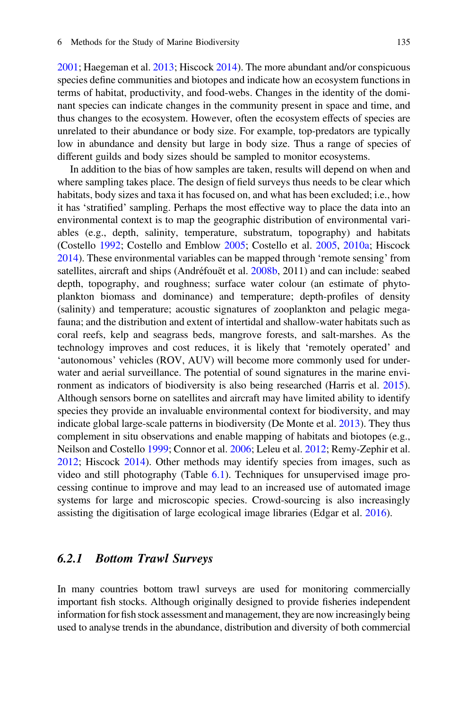[2001;](#page-30-0) Haegeman et al. [2013;](#page-31-0) Hiscock [2014](#page-31-0)). The more abundant and/or conspicuous species define communities and biotopes and indicate how an ecosystem functions in terms of habitat, productivity, and food-webs. Changes in the identity of the dominant species can indicate changes in the community present in space and time, and thus changes to the ecosystem. However, often the ecosystem effects of species are unrelated to their abundance or body size. For example, top-predators are typically low in abundance and density but large in body size. Thus a range of species of different guilds and body sizes should be sampled to monitor ecosystems.

In addition to the bias of how samples are taken, results will depend on when and where sampling takes place. The design of field surveys thus needs to be clear which habitats, body sizes and taxa it has focused on, and what has been excluded; i.e., how it has 'stratified' sampling. Perhaps the most effective way to place the data into an environmental context is to map the geographic distribution of environmental variables (e.g., depth, salinity, temperature, substratum, topography) and habitats (Costello [1992](#page-28-0); Costello and Emblow [2005;](#page-28-0) Costello et al. [2005,](#page-29-0) [2010a;](#page-29-0) Hiscock [2014\)](#page-31-0). These environmental variables can be mapped through 'remote sensing' from satellites, aircraft and ships (Andréfouët et al. [2008b,](#page-26-0) 2011) and can include: seabed depth, topography, and roughness; surface water colour (an estimate of phytoplankton biomass and dominance) and temperature; depth-profiles of density (salinity) and temperature; acoustic signatures of zooplankton and pelagic megafauna; and the distribution and extent of intertidal and shallow-water habitats such as coral reefs, kelp and seagrass beds, mangrove forests, and salt-marshes. As the technology improves and cost reduces, it is likely that 'remotely operated' and 'autonomous' vehicles (ROV, AUV) will become more commonly used for underwater and aerial surveillance. The potential of sound signatures in the marine environment as indicators of biodiversity is also being researched (Harris et al. [2015\)](#page-31-0). Although sensors borne on satellites and aircraft may have limited ability to identify species they provide an invaluable environmental context for biodiversity, and may indicate global large-scale patterns in biodiversity (De Monte et al. [2013](#page-30-0)). They thus complement in situ observations and enable mapping of habitats and biotopes (e.g., Neilson and Costello [1999](#page-32-0); Connor et al. [2006](#page-28-0); Leleu et al. [2012](#page-32-0); Remy-Zephir et al. [2012;](#page-33-0) Hiscock [2014\)](#page-31-0). Other methods may identify species from images, such as video and still photography (Table [6.1](#page-4-0)). Techniques for unsupervised image processing continue to improve and may lead to an increased use of automated image systems for large and microscopic species. Crowd-sourcing is also increasingly assisting the digitisation of large ecological image libraries (Edgar et al. [2016](#page-30-0)).

#### 6.2.1 Bottom Trawl Surveys

In many countries bottom trawl surveys are used for monitoring commercially important fish stocks. Although originally designed to provide fisheries independent information for fish stock assessment and management, they are now increasingly being used to analyse trends in the abundance, distribution and diversity of both commercial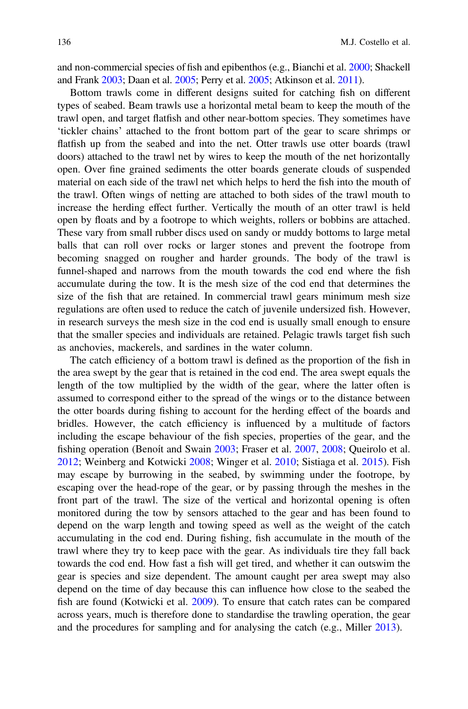and non-commercial species of fish and epibenthos (e.g., Bianchi et al. [2000](#page-28-0); Shackell and Frank [2003](#page-33-0); Daan et al. [2005;](#page-30-0) Perry et al. [2005;](#page-32-0) Atkinson et al. [2011\)](#page-27-0).

Bottom trawls come in different designs suited for catching fish on different types of seabed. Beam trawls use a horizontal metal beam to keep the mouth of the trawl open, and target flatfish and other near-bottom species. They sometimes have 'tickler chains' attached to the front bottom part of the gear to scare shrimps or flatfish up from the seabed and into the net. Otter trawls use otter boards (trawl doors) attached to the trawl net by wires to keep the mouth of the net horizontally open. Over fine grained sediments the otter boards generate clouds of suspended material on each side of the trawl net which helps to herd the fish into the mouth of the trawl. Often wings of netting are attached to both sides of the trawl mouth to increase the herding effect further. Vertically the mouth of an otter trawl is held open by floats and by a footrope to which weights, rollers or bobbins are attached. These vary from small rubber discs used on sandy or muddy bottoms to large metal balls that can roll over rocks or larger stones and prevent the footrope from becoming snagged on rougher and harder grounds. The body of the trawl is funnel-shaped and narrows from the mouth towards the cod end where the fish accumulate during the tow. It is the mesh size of the cod end that determines the size of the fish that are retained. In commercial trawl gears minimum mesh size regulations are often used to reduce the catch of juvenile undersized fish. However, in research surveys the mesh size in the cod end is usually small enough to ensure that the smaller species and individuals are retained. Pelagic trawls target fish such as anchovies, mackerels, and sardines in the water column.

The catch efficiency of a bottom trawl is defined as the proportion of the fish in the area swept by the gear that is retained in the cod end. The area swept equals the length of the tow multiplied by the width of the gear, where the latter often is assumed to correspond either to the spread of the wings or to the distance between the otter boards during fishing to account for the herding effect of the boards and bridles. However, the catch efficiency is influenced by a multitude of factors including the escape behaviour of the fish species, properties of the gear, and the fishing operation (Benoít and Swain [2003](#page-27-0); Fraser et al. [2007,](#page-31-0) [2008](#page-31-0); Queirolo et al. [2012;](#page-33-0) Weinberg and Kotwicki [2008;](#page-34-0) Winger et al. [2010](#page-34-0); Sistiaga et al. [2015\)](#page-33-0). Fish may escape by burrowing in the seabed, by swimming under the footrope, by escaping over the head-rope of the gear, or by passing through the meshes in the front part of the trawl. The size of the vertical and horizontal opening is often monitored during the tow by sensors attached to the gear and has been found to depend on the warp length and towing speed as well as the weight of the catch accumulating in the cod end. During fishing, fish accumulate in the mouth of the trawl where they try to keep pace with the gear. As individuals tire they fall back towards the cod end. How fast a fish will get tired, and whether it can outswim the gear is species and size dependent. The amount caught per area swept may also depend on the time of day because this can influence how close to the seabed the fish are found (Kotwicki et al. [2009](#page-32-0)). To ensure that catch rates can be compared across years, much is therefore done to standardise the trawling operation, the gear and the procedures for sampling and for analysing the catch (e.g., Miller [2013](#page-32-0)).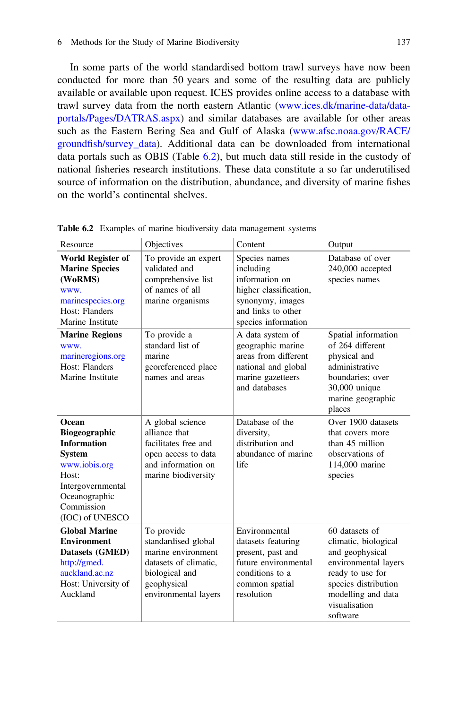<span id="page-8-0"></span>In some parts of the world standardised bottom trawl surveys have now been conducted for more than 50 years and some of the resulting data are publicly available or available upon request. ICES provides online access to a database with trawl survey data from the north eastern Atlantic ([www.ices.dk/marine-data/data](http://www.ices.dk/marine-data/data-portals/Pages/DATRAS.aspx)[portals/Pages/DATRAS.aspx\)](http://www.ices.dk/marine-data/data-portals/Pages/DATRAS.aspx) and similar databases are available for other areas such as the Eastern Bering Sea and Gulf of Alaska [\(www.afsc.noaa.gov/RACE/](http://www.afsc.noaa.gov/RACE/groundfish/survey_data) groundfi[sh/survey\\_data\)](http://www.afsc.noaa.gov/RACE/groundfish/survey_data). Additional data can be downloaded from international data portals such as OBIS (Table 6.2), but much data still reside in the custody of national fisheries research institutions. These data constitute a so far underutilised source of information on the distribution, abundance, and diversity of marine fishes on the world's continental shelves.

| Resource                                                                                                                                                       | Objectives                                                                                                                                | Content                                                                                                                                 | Output                                                                                                                                                                           |  |  |  |  |
|----------------------------------------------------------------------------------------------------------------------------------------------------------------|-------------------------------------------------------------------------------------------------------------------------------------------|-----------------------------------------------------------------------------------------------------------------------------------------|----------------------------------------------------------------------------------------------------------------------------------------------------------------------------------|--|--|--|--|
| <b>World Register of</b><br><b>Marine Species</b><br>(WoRMS)<br>www.<br>marinespecies.org<br>Host: Flanders<br>Marine Institute                                | To provide an expert<br>validated and<br>comprehensive list<br>of names of all<br>marine organisms                                        | Species names<br>including<br>information on<br>higher classification,<br>synonymy, images<br>and links to other<br>species information | Database of over<br>240,000 accepted<br>species names                                                                                                                            |  |  |  |  |
| <b>Marine Regions</b><br>www.<br>marineregions.org<br>Host: Flanders<br>Marine Institute                                                                       | To provide a<br>standard list of<br>marine<br>georeferenced place<br>names and areas                                                      | A data system of<br>geographic marine<br>areas from different<br>national and global<br>marine gazetteers<br>and databases              | Spatial information<br>of 264 different<br>physical and<br>administrative<br>boundaries: over<br>30,000 unique<br>marine geographic<br>places                                    |  |  |  |  |
| Ocean<br>Biogeographic<br><b>Information</b><br><b>System</b><br>www.iobis.org<br>Host:<br>Intergovernmental<br>Oceanographic<br>Commission<br>(IOC) of UNESCO | A global science<br>alliance that<br>facilitates free and<br>open access to data<br>and information on<br>marine biodiversity             | Database of the<br>diversity,<br>distribution and<br>abundance of marine<br>life                                                        | Over 1900 datasets<br>that covers more<br>than 45 million<br>observations of<br>114,000 marine<br>species                                                                        |  |  |  |  |
| <b>Global Marine</b><br><b>Environment</b><br>Datasets (GMED)<br>http://gmed.<br>auckland.ac.nz<br>Host: University of<br>Auckland                             | To provide<br>standardised global<br>marine environment<br>datasets of climatic,<br>biological and<br>geophysical<br>environmental layers | Environmental<br>datasets featuring<br>present, past and<br>future environmental<br>conditions to a<br>common spatial<br>resolution     | 60 datasets of<br>climatic, biological<br>and geophysical<br>environmental layers<br>ready to use for<br>species distribution<br>modelling and data<br>visualisation<br>software |  |  |  |  |

Table 6.2 Examples of marine biodiversity data management systems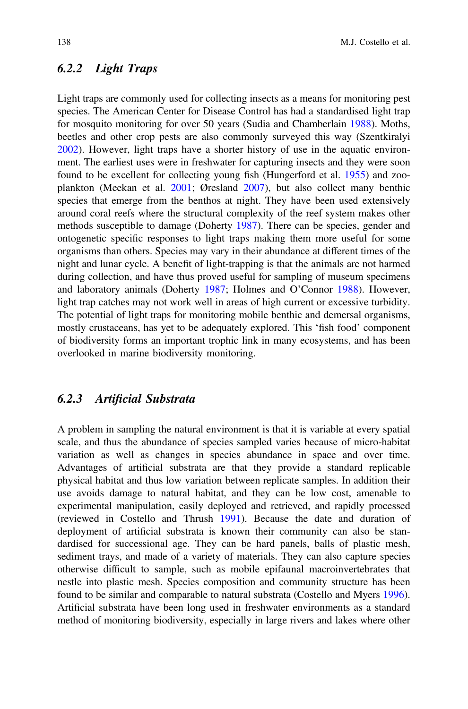#### 6.2.2 Light Traps

Light traps are commonly used for collecting insects as a means for monitoring pest species. The American Center for Disease Control has had a standardised light trap for mosquito monitoring for over 50 years (Sudia and Chamberlain [1988\)](#page-33-0). Moths, beetles and other crop pests are also commonly surveyed this way (Szentkiralyi [2002\)](#page-33-0). However, light traps have a shorter history of use in the aquatic environment. The earliest uses were in freshwater for capturing insects and they were soon found to be excellent for collecting young fish (Hungerford et al. [1955](#page-31-0)) and zooplankton (Meekan et al. [2001](#page-32-0); Øresland [2007\)](#page-32-0), but also collect many benthic species that emerge from the benthos at night. They have been used extensively around coral reefs where the structural complexity of the reef system makes other methods susceptible to damage (Doherty [1987\)](#page-30-0). There can be species, gender and ontogenetic specific responses to light traps making them more useful for some organisms than others. Species may vary in their abundance at different times of the night and lunar cycle. A benefit of light-trapping is that the animals are not harmed during collection, and have thus proved useful for sampling of museum specimens and laboratory animals (Doherty [1987;](#page-30-0) Holmes and O'Connor [1988\)](#page-31-0). However, light trap catches may not work well in areas of high current or excessive turbidity. The potential of light traps for monitoring mobile benthic and demersal organisms, mostly crustaceans, has yet to be adequately explored. This 'fish food' component of biodiversity forms an important trophic link in many ecosystems, and has been overlooked in marine biodiversity monitoring.

#### 6.2.3 Artificial Substrata

A problem in sampling the natural environment is that it is variable at every spatial scale, and thus the abundance of species sampled varies because of micro-habitat variation as well as changes in species abundance in space and over time. Advantages of artificial substrata are that they provide a standard replicable physical habitat and thus low variation between replicate samples. In addition their use avoids damage to natural habitat, and they can be low cost, amenable to experimental manipulation, easily deployed and retrieved, and rapidly processed (reviewed in Costello and Thrush [1991\)](#page-28-0). Because the date and duration of deployment of artificial substrata is known their community can also be standardised for successional age. They can be hard panels, balls of plastic mesh, sediment trays, and made of a variety of materials. They can also capture species otherwise difficult to sample, such as mobile epifaunal macroinvertebrates that nestle into plastic mesh. Species composition and community structure has been found to be similar and comparable to natural substrata (Costello and Myers [1996\)](#page-28-0). Artificial substrata have been long used in freshwater environments as a standard method of monitoring biodiversity, especially in large rivers and lakes where other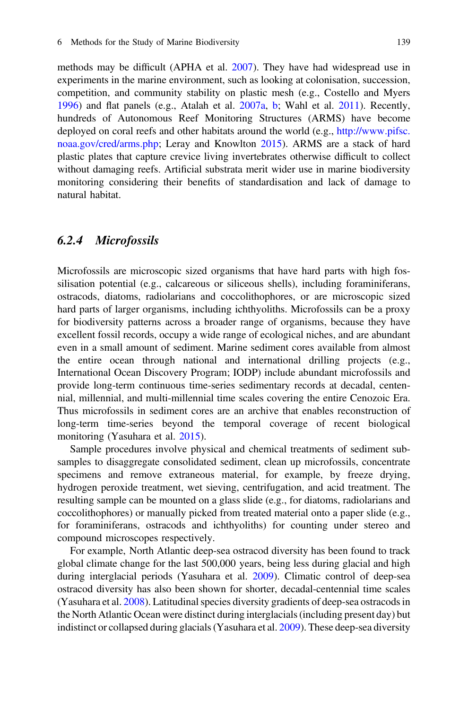methods may be difficult (APHA et al. [2007\)](#page-27-0). They have had widespread use in experiments in the marine environment, such as looking at colonisation, succession, competition, and community stability on plastic mesh (e.g., Costello and Myers [1996\)](#page-28-0) and flat panels (e.g., Atalah et al. [2007a](#page-27-0), [b;](#page-27-0) Wahl et al. [2011](#page-34-0)). Recently, hundreds of Autonomous Reef Monitoring Structures (ARMS) have become deployed on coral reefs and other habitats around the world (e.g., [http://www.pifsc.](http://www.pifsc.noaa.gov/cred/arms.php) [noaa.gov/cred/arms.php;](http://www.pifsc.noaa.gov/cred/arms.php) Leray and Knowlton [2015\)](#page-32-0). ARMS are a stack of hard plastic plates that capture crevice living invertebrates otherwise difficult to collect without damaging reefs. Artificial substrata merit wider use in marine biodiversity monitoring considering their benefits of standardisation and lack of damage to natural habitat.

#### 6.2.4 Microfossils

Microfossils are microscopic sized organisms that have hard parts with high fossilisation potential (e.g., calcareous or siliceous shells), including foraminiferans, ostracods, diatoms, radiolarians and coccolithophores, or are microscopic sized hard parts of larger organisms, including ichthyoliths. Microfossils can be a proxy for biodiversity patterns across a broader range of organisms, because they have excellent fossil records, occupy a wide range of ecological niches, and are abundant even in a small amount of sediment. Marine sediment cores available from almost the entire ocean through national and international drilling projects (e.g., International Ocean Discovery Program; IODP) include abundant microfossils and provide long-term continuous time-series sedimentary records at decadal, centennial, millennial, and multi-millennial time scales covering the entire Cenozoic Era. Thus microfossils in sediment cores are an archive that enables reconstruction of long-term time-series beyond the temporal coverage of recent biological monitoring (Yasuhara et al. [2015](#page-34-0)).

Sample procedures involve physical and chemical treatments of sediment subsamples to disaggregate consolidated sediment, clean up microfossils, concentrate specimens and remove extraneous material, for example, by freeze drying, hydrogen peroxide treatment, wet sieving, centrifugation, and acid treatment. The resulting sample can be mounted on a glass slide (e.g., for diatoms, radiolarians and coccolithophores) or manually picked from treated material onto a paper slide (e.g., for foraminiferans, ostracods and ichthyoliths) for counting under stereo and compound microscopes respectively.

For example, North Atlantic deep-sea ostracod diversity has been found to track global climate change for the last 500,000 years, being less during glacial and high during interglacial periods (Yasuhara et al. [2009](#page-34-0)). Climatic control of deep-sea ostracod diversity has also been shown for shorter, decadal-centennial time scales (Yasuhara et al. [2008](#page-34-0)). Latitudinal species diversity gradients of deep-sea ostracods in the North Atlantic Ocean were distinct during interglacials (including present day) but indistinct or collapsed during glacials (Yasuhara et al. [2009](#page-34-0)). These deep-sea diversity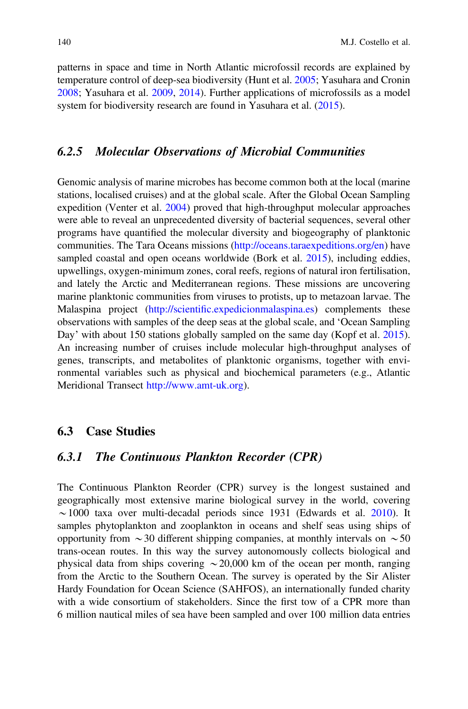patterns in space and time in North Atlantic microfossil records are explained by temperature control of deep-sea biodiversity (Hunt et al. [2005;](#page-31-0) Yasuhara and Cronin [2008;](#page-34-0) Yasuhara et al. [2009,](#page-34-0) [2014](#page-34-0)). Further applications of microfossils as a model system for biodiversity research are found in Yasuhara et al. ([2015\)](#page-34-0).

#### 6.2.5 Molecular Observations of Microbial Communities

Genomic analysis of marine microbes has become common both at the local (marine stations, localised cruises) and at the global scale. After the Global Ocean Sampling expedition (Venter et al. [2004](#page-33-0)) proved that high-throughput molecular approaches were able to reveal an unprecedented diversity of bacterial sequences, several other programs have quantified the molecular diversity and biogeography of planktonic communities. The Tara Oceans missions [\(http://oceans.taraexpeditions.org/en](http://oceans.taraexpeditions.org/en)) have sampled coastal and open oceans worldwide (Bork et al. [2015\)](#page-28-0), including eddies, upwellings, oxygen-minimum zones, coral reefs, regions of natural iron fertilisation, and lately the Arctic and Mediterranean regions. These missions are uncovering marine planktonic communities from viruses to protists, up to metazoan larvae. The Malaspina project (http://scientifi[c.expedicionmalaspina.es](http://scientific.expedicionmalaspina.es)) complements these observations with samples of the deep seas at the global scale, and 'Ocean Sampling Day' with about 150 stations globally sampled on the same day (Kopf et al. [2015\)](#page-32-0). An increasing number of cruises include molecular high-throughput analyses of genes, transcripts, and metabolites of planktonic organisms, together with environmental variables such as physical and biochemical parameters (e.g., Atlantic Meridional Transect [http://www.amt-uk.org\)](http://www.amt-uk.org).

#### 6.3 Case Studies

# 6.3.1 The Continuous Plankton Recorder (CPR)

The Continuous Plankton Reorder (CPR) survey is the longest sustained and geographically most extensive marine biological survey in the world, covering  $\sim$ 1000 taxa over multi-decadal periods since 1931 (Edwards et al. [2010\)](#page-30-0). It samples phytoplankton and zooplankton in oceans and shelf seas using ships of opportunity from  $\sim$  30 different shipping companies, at monthly intervals on  $\sim$  50 trans-ocean routes. In this way the survey autonomously collects biological and physical data from ships covering  $\sim$  20,000 km of the ocean per month, ranging from the Arctic to the Southern Ocean. The survey is operated by the Sir Alister Hardy Foundation for Ocean Science (SAHFOS), an internationally funded charity with a wide consortium of stakeholders. Since the first tow of a CPR more than 6 million nautical miles of sea have been sampled and over 100 million data entries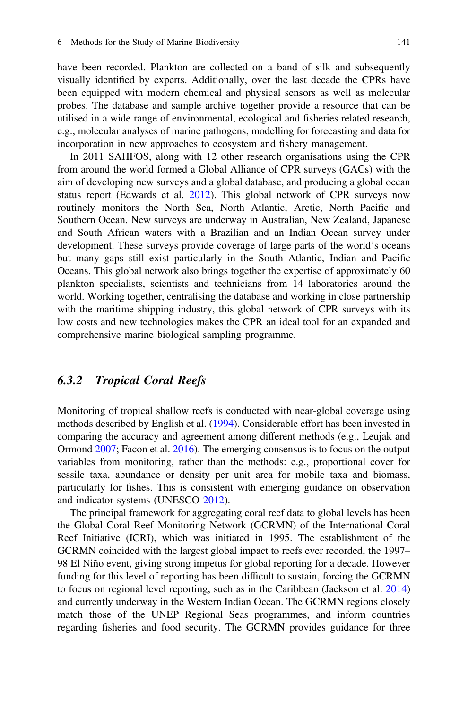<span id="page-12-0"></span>have been recorded. Plankton are collected on a band of silk and subsequently visually identified by experts. Additionally, over the last decade the CPRs have been equipped with modern chemical and physical sensors as well as molecular probes. The database and sample archive together provide a resource that can be utilised in a wide range of environmental, ecological and fisheries related research, e.g., molecular analyses of marine pathogens, modelling for forecasting and data for incorporation in new approaches to ecosystem and fishery management.

In 2011 SAHFOS, along with 12 other research organisations using the CPR from around the world formed a Global Alliance of CPR surveys (GACs) with the aim of developing new surveys and a global database, and producing a global ocean status report (Edwards et al. [2012\)](#page-30-0). This global network of CPR surveys now routinely monitors the North Sea, North Atlantic, Arctic, North Pacific and Southern Ocean. New surveys are underway in Australian, New Zealand, Japanese and South African waters with a Brazilian and an Indian Ocean survey under development. These surveys provide coverage of large parts of the world's oceans but many gaps still exist particularly in the South Atlantic, Indian and Pacific Oceans. This global network also brings together the expertise of approximately 60 plankton specialists, scientists and technicians from 14 laboratories around the world. Working together, centralising the database and working in close partnership with the maritime shipping industry, this global network of CPR surveys with its low costs and new technologies makes the CPR an ideal tool for an expanded and comprehensive marine biological sampling programme.

#### 6.3.2 Tropical Coral Reefs

Monitoring of tropical shallow reefs is conducted with near-global coverage using methods described by English et al. ([1994\)](#page-31-0). Considerable effort has been invested in comparing the accuracy and agreement among different methods (e.g., Leujak and Ormond [2007](#page-32-0); Facon et al. [2016](#page-31-0)). The emerging consensus is to focus on the output variables from monitoring, rather than the methods: e.g., proportional cover for sessile taxa, abundance or density per unit area for mobile taxa and biomass, particularly for fishes. This is consistent with emerging guidance on observation and indicator systems (UNESCO [2012\)](#page-33-0).

The principal framework for aggregating coral reef data to global levels has been the Global Coral Reef Monitoring Network (GCRMN) of the International Coral Reef Initiative (ICRI), which was initiated in 1995. The establishment of the GCRMN coincided with the largest global impact to reefs ever recorded, the 1997– 98 El Niño event, giving strong impetus for global reporting for a decade. However funding for this level of reporting has been difficult to sustain, forcing the GCRMN to focus on regional level reporting, such as in the Caribbean (Jackson et al. [2014](#page-31-0)) and currently underway in the Western Indian Ocean. The GCRMN regions closely match those of the UNEP Regional Seas programmes, and inform countries regarding fisheries and food security. The GCRMN provides guidance for three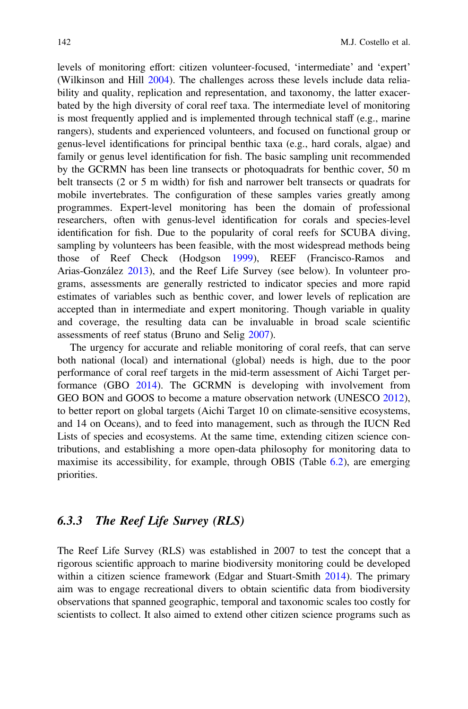levels of monitoring effort: citizen volunteer-focused, 'intermediate' and 'expert' (Wilkinson and Hill [2004](#page-34-0)). The challenges across these levels include data reliability and quality, replication and representation, and taxonomy, the latter exacerbated by the high diversity of coral reef taxa. The intermediate level of monitoring is most frequently applied and is implemented through technical staff (e.g., marine rangers), students and experienced volunteers, and focused on functional group or genus-level identifications for principal benthic taxa (e.g., hard corals, algae) and family or genus level identification for fish. The basic sampling unit recommended by the GCRMN has been line transects or photoquadrats for benthic cover, 50 m belt transects (2 or 5 m width) for fish and narrower belt transects or quadrats for mobile invertebrates. The configuration of these samples varies greatly among programmes. Expert-level monitoring has been the domain of professional researchers, often with genus-level identification for corals and species-level identification for fish. Due to the popularity of coral reefs for SCUBA diving, sampling by volunteers has been feasible, with the most widespread methods being those of Reef Check (Hodgson [1999\)](#page-31-0), REEF (Francisco-Ramos and Arias-González [2013\)](#page-31-0), and the Reef Life Survey (see below). In volunteer programs, assessments are generally restricted to indicator species and more rapid estimates of variables such as benthic cover, and lower levels of replication are accepted than in intermediate and expert monitoring. Though variable in quality and coverage, the resulting data can be invaluable in broad scale scientific assessments of reef status (Bruno and Selig [2007](#page-28-0)).

The urgency for accurate and reliable monitoring of coral reefs, that can serve both national (local) and international (global) needs is high, due to the poor performance of coral reef targets in the mid-term assessment of Aichi Target performance (GBO [2014\)](#page-31-0). The GCRMN is developing with involvement from GEO BON and GOOS to become a mature observation network (UNESCO [2012\)](#page-33-0), to better report on global targets (Aichi Target 10 on climate-sensitive ecosystems, and 14 on Oceans), and to feed into management, such as through the IUCN Red Lists of species and ecosystems. At the same time, extending citizen science contributions, and establishing a more open-data philosophy for monitoring data to maximise its accessibility, for example, through OBIS (Table [6.2\)](#page-8-0), are emerging priorities.

# 6.3.3 The Reef Life Survey (RLS)

The Reef Life Survey (RLS) was established in 2007 to test the concept that a rigorous scientific approach to marine biodiversity monitoring could be developed within a citizen science framework (Edgar and Stuart-Smith [2014](#page-30-0)). The primary aim was to engage recreational divers to obtain scientific data from biodiversity observations that spanned geographic, temporal and taxonomic scales too costly for scientists to collect. It also aimed to extend other citizen science programs such as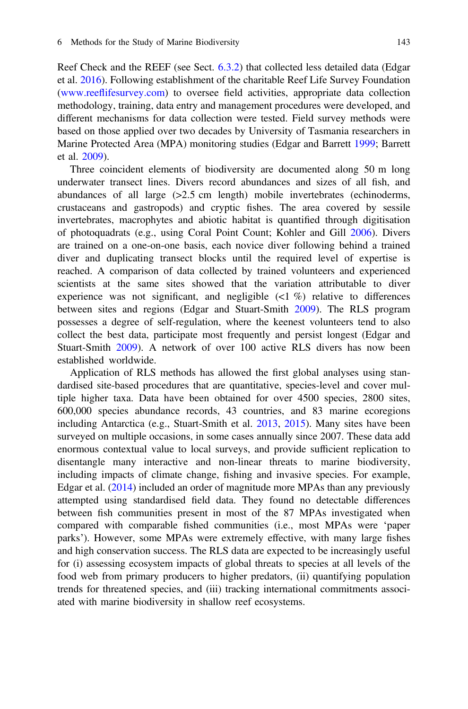Reef Check and the REEF (see Sect. [6.3.2\)](#page-12-0) that collected less detailed data (Edgar et al. [2016](#page-30-0)). Following establishment of the charitable Reef Life Survey Foundation (www.reefl[ifesurvey.com\)](http://www.reeflifesurvey.com) to oversee field activities, appropriate data collection methodology, training, data entry and management procedures were developed, and different mechanisms for data collection were tested. Field survey methods were based on those applied over two decades by University of Tasmania researchers in Marine Protected Area (MPA) monitoring studies (Edgar and Barrett [1999;](#page-30-0) Barrett et al. [2009](#page-27-0)).

Three coincident elements of biodiversity are documented along 50 m long underwater transect lines. Divers record abundances and sizes of all fish, and abundances of all large  $(>=2.5 \text{ cm} \text{ length})$  mobile invertebrates (echinoderms, crustaceans and gastropods) and cryptic fishes. The area covered by sessile invertebrates, macrophytes and abiotic habitat is quantified through digitisation of photoquadrats (e.g., using Coral Point Count; Kohler and Gill [2006](#page-32-0)). Divers are trained on a one-on-one basis, each novice diver following behind a trained diver and duplicating transect blocks until the required level of expertise is reached. A comparison of data collected by trained volunteers and experienced scientists at the same sites showed that the variation attributable to diver experience was not significant, and negligible  $\left( \langle 1 \rangle \% \right)$  relative to differences between sites and regions (Edgar and Stuart-Smith [2009\)](#page-30-0). The RLS program possesses a degree of self-regulation, where the keenest volunteers tend to also collect the best data, participate most frequently and persist longest (Edgar and Stuart-Smith [2009](#page-30-0)). A network of over 100 active RLS divers has now been established worldwide.

Application of RLS methods has allowed the first global analyses using standardised site-based procedures that are quantitative, species-level and cover multiple higher taxa. Data have been obtained for over 4500 species, 2800 sites, 600,000 species abundance records, 43 countries, and 83 marine ecoregions including Antarctica (e.g., Stuart-Smith et al. [2013](#page-33-0), [2015](#page-33-0)). Many sites have been surveyed on multiple occasions, in some cases annually since 2007. These data add enormous contextual value to local surveys, and provide sufficient replication to disentangle many interactive and non-linear threats to marine biodiversity, including impacts of climate change, fishing and invasive species. For example, Edgar et al. ([2014\)](#page-30-0) included an order of magnitude more MPAs than any previously attempted using standardised field data. They found no detectable differences between fish communities present in most of the 87 MPAs investigated when compared with comparable fished communities (i.e., most MPAs were 'paper parks'). However, some MPAs were extremely effective, with many large fishes and high conservation success. The RLS data are expected to be increasingly useful for (i) assessing ecosystem impacts of global threats to species at all levels of the food web from primary producers to higher predators, (ii) quantifying population trends for threatened species, and (iii) tracking international commitments associated with marine biodiversity in shallow reef ecosystems.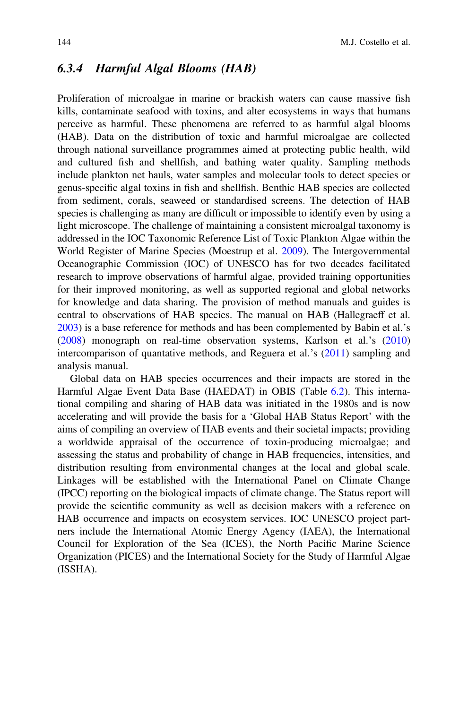## 6.3.4 Harmful Algal Blooms (HAB)

Proliferation of microalgae in marine or brackish waters can cause massive fish kills, contaminate seafood with toxins, and alter ecosystems in ways that humans perceive as harmful. These phenomena are referred to as harmful algal blooms (HAB). Data on the distribution of toxic and harmful microalgae are collected through national surveillance programmes aimed at protecting public health, wild and cultured fish and shellfish, and bathing water quality. Sampling methods include plankton net hauls, water samples and molecular tools to detect species or genus-specific algal toxins in fish and shellfish. Benthic HAB species are collected from sediment, corals, seaweed or standardised screens. The detection of HAB species is challenging as many are difficult or impossible to identify even by using a light microscope. The challenge of maintaining a consistent microalgal taxonomy is addressed in the IOC Taxonomic Reference List of Toxic Plankton Algae within the World Register of Marine Species (Moestrup et al. [2009\)](#page-32-0). The Intergovernmental Oceanographic Commission (IOC) of UNESCO has for two decades facilitated research to improve observations of harmful algae, provided training opportunities for their improved monitoring, as well as supported regional and global networks for knowledge and data sharing. The provision of method manuals and guides is central to observations of HAB species. The manual on HAB (Hallegraeff et al. [2003\)](#page-31-0) is a base reference for methods and has been complemented by Babin et al.'s [\(2008](#page-27-0)) monograph on real-time observation systems, Karlson et al.'s [\(2010](#page-31-0)) intercomparison of quantative methods, and Reguera et al.'s ([2011\)](#page-33-0) sampling and analysis manual.

Global data on HAB species occurrences and their impacts are stored in the Harmful Algae Event Data Base (HAEDAT) in OBIS (Table [6.2](#page-8-0)). This international compiling and sharing of HAB data was initiated in the 1980s and is now accelerating and will provide the basis for a 'Global HAB Status Report' with the aims of compiling an overview of HAB events and their societal impacts; providing a worldwide appraisal of the occurrence of toxin-producing microalgae; and assessing the status and probability of change in HAB frequencies, intensities, and distribution resulting from environmental changes at the local and global scale. Linkages will be established with the International Panel on Climate Change (IPCC) reporting on the biological impacts of climate change. The Status report will provide the scientific community as well as decision makers with a reference on HAB occurrence and impacts on ecosystem services. IOC UNESCO project partners include the International Atomic Energy Agency (IAEA), the International Council for Exploration of the Sea (ICES), the North Pacific Marine Science Organization (PICES) and the International Society for the Study of Harmful Algae (ISSHA).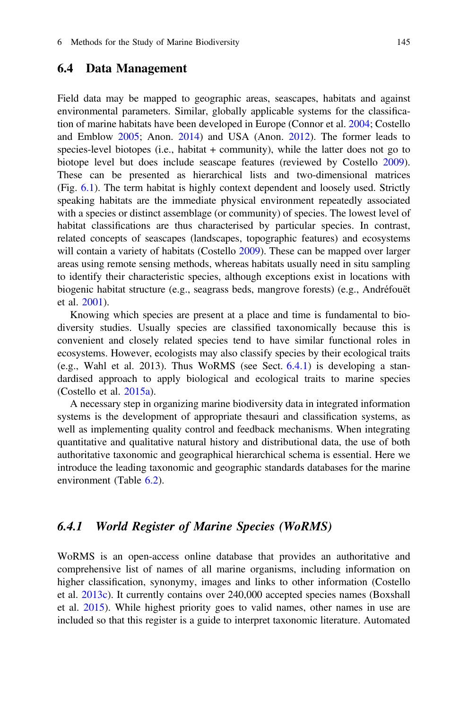#### 6.4 Data Management

Field data may be mapped to geographic areas, seascapes, habitats and against environmental parameters. Similar, globally applicable systems for the classification of marine habitats have been developed in Europe (Connor et al. [2004;](#page-28-0) Costello and Emblow [2005;](#page-28-0) Anon. [2014\)](#page-27-0) and USA (Anon. [2012](#page-27-0)). The former leads to species-level biotopes (i.e., habitat + community), while the latter does not go to biotope level but does include seascape features (reviewed by Costello [2009\)](#page-28-0). These can be presented as hierarchical lists and two-dimensional matrices (Fig. [6.1\)](#page-17-0). The term habitat is highly context dependent and loosely used. Strictly speaking habitats are the immediate physical environment repeatedly associated with a species or distinct assemblage (or community) of species. The lowest level of habitat classifications are thus characterised by particular species. In contrast, related concepts of seascapes (landscapes, topographic features) and ecosystems will contain a variety of habitats (Costello [2009\)](#page-28-0). These can be mapped over larger areas using remote sensing methods, whereas habitats usually need in situ sampling to identify their characteristic species, although exceptions exist in locations with biogenic habitat structure (e.g., seagrass beds, mangrove forests) (e.g., Andréfouët et al. [2001](#page-27-0)).

Knowing which species are present at a place and time is fundamental to biodiversity studies. Usually species are classified taxonomically because this is convenient and closely related species tend to have similar functional roles in ecosystems. However, ecologists may also classify species by their ecological traits (e.g., Wahl et al. 2013). Thus WoRMS (see Sect.  $(6.4.1)$ ) is developing a standardised approach to apply biological and ecological traits to marine species (Costello et al. [2015a\)](#page-29-0).

A necessary step in organizing marine biodiversity data in integrated information systems is the development of appropriate thesauri and classification systems, as well as implementing quality control and feedback mechanisms. When integrating quantitative and qualitative natural history and distributional data, the use of both authoritative taxonomic and geographical hierarchical schema is essential. Here we introduce the leading taxonomic and geographic standards databases for the marine environment (Table [6.2\)](#page-8-0).

# 6.4.1 World Register of Marine Species (WoRMS)

WoRMS is an open-access online database that provides an authoritative and comprehensive list of names of all marine organisms, including information on higher classification, synonymy, images and links to other information (Costello et al. [2013c\)](#page-29-0). It currently contains over 240,000 accepted species names (Boxshall et al. [2015](#page-28-0)). While highest priority goes to valid names, other names in use are included so that this register is a guide to interpret taxonomic literature. Automated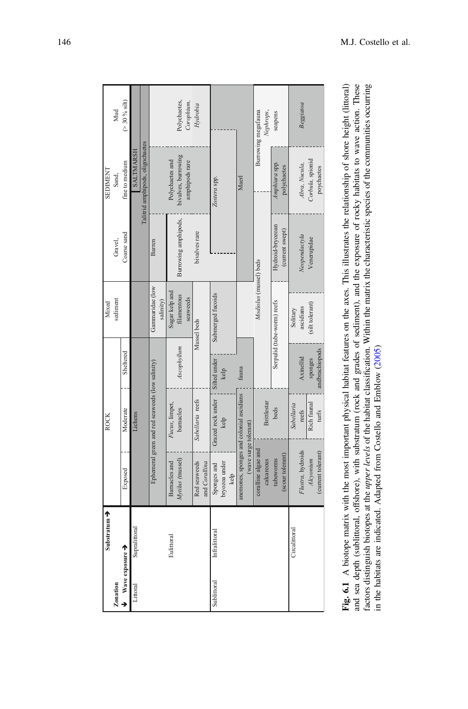<span id="page-17-0"></span>

|                          | $(>30$ % silt)<br>Mud |                      |                                                 |                                                          |                 |               |                  | Polychaetes,<br>Corophium,<br>Hydrobia |                               |               |                           |                   |       |                                          |                      |                     | Burrowing megafauna          | Nephrops, | seapens                    |                 |                   | Beggiatoa      |                    |  |  |
|--------------------------|-----------------------|----------------------|-------------------------------------------------|----------------------------------------------------------|-----------------|---------------|------------------|----------------------------------------|-------------------------------|---------------|---------------------------|-------------------|-------|------------------------------------------|----------------------|---------------------|------------------------------|-----------|----------------------------|-----------------|-------------------|----------------|--------------------|--|--|
| <b>SEDIMENT</b><br>Sand, | fine to medium        | SALTMARSH            | Talitrid amphipods, oligochaetes                | bivalves, burrowing<br>Polychaetes and<br>amphipods rare |                 |               |                  |                                        |                               |               | Zostera spp.              |                   | Maerl |                                          |                      |                     | Amphiura spp.<br>polychaetes |           | Abra, Nucula,              |                 | Corbula, spionid  | poychaetes     |                    |  |  |
|                          | Gravel,               | Coarse sand          |                                                 |                                                          | Barren          |               |                  | Burrowing amphipods,                   |                               | bivalves rare |                           |                   |       |                                          |                      |                     |                              |           | Hydroid-bryozoan           | (current swept) |                   | Neopendactyla  | Venerupidae        |  |  |
| Mixed                    | sediment              |                      |                                                 |                                                          | Gammaridae (low | salinity)     | Sugar kelp and   | filamentous                            | seaweeds                      | Mussel beds   |                           | Submerged fucoids |       |                                          |                      |                     | Modiolus (mussel) beds       |           | Serpulid (tube-worm) reefs |                 | Solitary          | ascidians      | (silt tolerant)    |  |  |
| <b>ROCK</b>              | Sheltered             |                      | Ephemeral green and red seaweeds (low salinity) |                                                          |                 | Ascophyllum   |                  |                                        |                               | Silted under  | kelp                      |                   | fauna |                                          |                      |                     |                              |           |                            | Axinellid       | sponges           | andbrachiopods |                    |  |  |
|                          | Moderate              | Lichens              |                                                 |                                                          | Fucus, limpet,  | barnacles     |                  | Sabellaria reefs                       |                               |               | Grazed rock under<br>kelp |                   |       |                                          |                      | Brittlestar         | beds                         |           | Sabellaria                 | reefs           | Rich faunal       | turfs          |                    |  |  |
|                          | Exposed               |                      |                                                 |                                                          |                 | Barnacles and | Mytilus (mussel) |                                        | Red seaweeds<br>and Corallina |               | Sponges and               | bryozoa under     | kelp  | anemones, sponges and colonial ascidians | wave surge tolerant) | coralline algae and | calcareous                   | tubeworms | (scour tolerant)           |                 | Flustra, hydroids | Alcyonium      | (current tolerant) |  |  |
| Substratum >             |                       |                      | Supralittoral                                   |                                                          |                 |               | Eulittoral       |                                        |                               |               |                           | Infralittoral     |       |                                          |                      |                     |                              |           |                            |                 | Circalittoral     |                |                    |  |  |
|                          | Zonation              | $\vee$ Wave exposure | Littoral                                        |                                                          |                 |               |                  |                                        |                               |               |                           | Sublittoral       |       |                                          |                      |                     |                              |           |                            |                 |                   |                |                    |  |  |

and sea depth (sublittoral, offshore), with substratum (rock and grades of sediment), and the exposure of rocky habitats to wave action. These factors distinguish biotopes at the *upper levels* of the habitat classificatio Fig. 6.1 A biotope matrix with the most important physical habitat features on the axes. This illustrates the relationship of shore height (littoral) Fig. 6.1 A biotope matrix with the most important physical habitat features on the axes. This illustrates the relationship of shore height (littoral) and sea depth (sublittoral, offshore), with substratum (rock and grades of sediment), and the exposure of rocky habitats to wave action. These factors distinguish biotopes at the *upper levels* of the habitat classification. Within the matrix the characteristic species of the communities occurring in the habitats are indicated. Adapted from Costello and Emblow (2005) in the habitats are indicated. Adapted from Costello and Emblow ([2005](#page-28-0))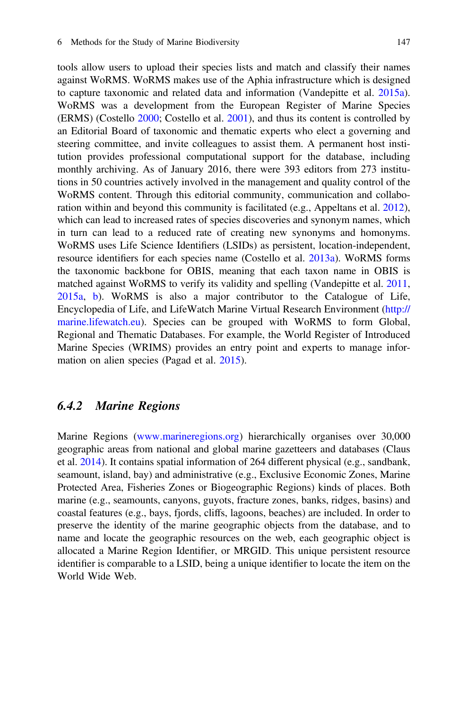tools allow users to upload their species lists and match and classify their names against WoRMS. WoRMS makes use of the Aphia infrastructure which is designed to capture taxonomic and related data and information (Vandepitte et al. [2015a\)](#page-33-0). WoRMS was a development from the European Register of Marine Species (ERMS) (Costello [2000](#page-28-0); Costello et al. [2001](#page-29-0)), and thus its content is controlled by an Editorial Board of taxonomic and thematic experts who elect a governing and steering committee, and invite colleagues to assist them. A permanent host institution provides professional computational support for the database, including monthly archiving. As of January 2016, there were 393 editors from 273 institutions in 50 countries actively involved in the management and quality control of the WoRMS content. Through this editorial community, communication and collaboration within and beyond this community is facilitated (e.g., Appeltans et al. [2012\)](#page-27-0), which can lead to increased rates of species discoveries and synonym names, which in turn can lead to a reduced rate of creating new synonyms and homonyms. WoRMS uses Life Science Identifiers (LSIDs) as persistent, location-independent, resource identifiers for each species name (Costello et al. [2013a\)](#page-29-0). WoRMS forms the taxonomic backbone for OBIS, meaning that each taxon name in OBIS is matched against WoRMS to verify its validity and spelling (Vandepitte et al. [2011](#page-33-0), [2015a](#page-33-0), [b](#page-33-0)). WoRMS is also a major contributor to the Catalogue of Life, Encyclopedia of Life, and LifeWatch Marine Virtual Research Environment [\(http://](http://marine.lifewatch.eu) [marine.lifewatch.eu](http://marine.lifewatch.eu)). Species can be grouped with WoRMS to form Global, Regional and Thematic Databases. For example, the World Register of Introduced Marine Species (WRIMS) provides an entry point and experts to manage information on alien species (Pagad et al. [2015](#page-32-0)).

#### 6.4.2 Marine Regions

Marine Regions ([www.marineregions.org\)](http://www.marineregions.org) hierarchically organises over 30,000 geographic areas from national and global marine gazetteers and databases (Claus et al. [2014](#page-28-0)). It contains spatial information of 264 different physical (e.g., sandbank, seamount, island, bay) and administrative (e.g., Exclusive Economic Zones, Marine Protected Area, Fisheries Zones or Biogeographic Regions) kinds of places. Both marine (e.g., seamounts, canyons, guyots, fracture zones, banks, ridges, basins) and coastal features (e.g., bays, fjords, cliffs, lagoons, beaches) are included. In order to preserve the identity of the marine geographic objects from the database, and to name and locate the geographic resources on the web, each geographic object is allocated a Marine Region Identifier, or MRGID. This unique persistent resource identifier is comparable to a LSID, being a unique identifier to locate the item on the World Wide Web.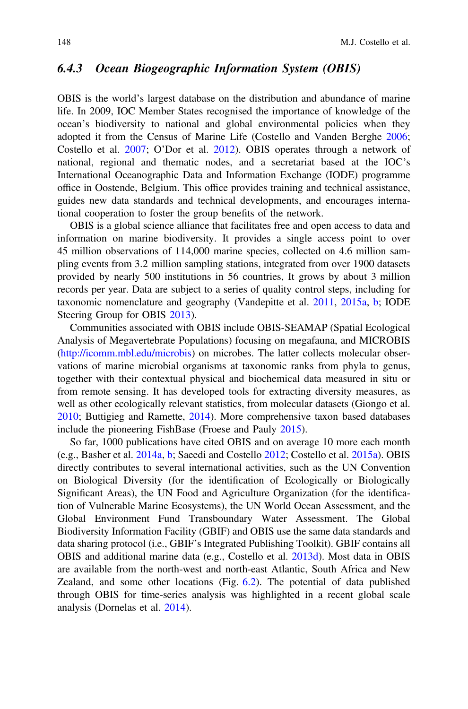## 6.4.3 Ocean Biogeographic Information System (OBIS)

OBIS is the world's largest database on the distribution and abundance of marine life. In 2009, IOC Member States recognised the importance of knowledge of the ocean's biodiversity to national and global environmental policies when they adopted it from the Census of Marine Life (Costello and Vanden Berghe [2006;](#page-28-0) Costello et al. [2007](#page-29-0); O'Dor et al. [2012\)](#page-32-0). OBIS operates through a network of national, regional and thematic nodes, and a secretariat based at the IOC's International Oceanographic Data and Information Exchange (IODE) programme office in Oostende, Belgium. This office provides training and technical assistance, guides new data standards and technical developments, and encourages international cooperation to foster the group benefits of the network.

OBIS is a global science alliance that facilitates free and open access to data and information on marine biodiversity. It provides a single access point to over 45 million observations of 114,000 marine species, collected on 4.6 million sampling events from 3.2 million sampling stations, integrated from over 1900 datasets provided by nearly 500 institutions in 56 countries, It grows by about 3 million records per year. Data are subject to a series of quality control steps, including for taxonomic nomenclature and geography (Vandepitte et al. [2011](#page-33-0), [2015a,](#page-33-0) [b;](#page-33-0) IODE Steering Group for OBIS [2013](#page-31-0)).

Communities associated with OBIS include OBIS-SEAMAP (Spatial Ecological Analysis of Megavertebrate Populations) focusing on megafauna, and MICROBIS [\(http://icomm.mbl.edu/microbis](http://icomm.mbl.edu/microbis)) on microbes. The latter collects molecular observations of marine microbial organisms at taxonomic ranks from phyla to genus, together with their contextual physical and biochemical data measured in situ or from remote sensing. It has developed tools for extracting diversity measures, as well as other ecologically relevant statistics, from molecular datasets (Giongo et al. [2010;](#page-31-0) Buttigieg and Ramette, [2014\)](#page-28-0). More comprehensive taxon based databases include the pioneering FishBase (Froese and Pauly [2015](#page-31-0)).

So far, 1000 publications have cited OBIS and on average 10 more each month (e.g., Basher et al. [2014a](#page-27-0), [b](#page-27-0); Saeedi and Costello [2012](#page-33-0); Costello et al. [2015a\)](#page-29-0). OBIS directly contributes to several international activities, such as the UN Convention on Biological Diversity (for the identification of Ecologically or Biologically Significant Areas), the UN Food and Agriculture Organization (for the identification of Vulnerable Marine Ecosystems), the UN World Ocean Assessment, and the Global Environment Fund Transboundary Water Assessment. The Global Biodiversity Information Facility (GBIF) and OBIS use the same data standards and data sharing protocol (i.e., GBIF's Integrated Publishing Toolkit). GBIF contains all OBIS and additional marine data (e.g., Costello et al. [2013d](#page-29-0)). Most data in OBIS are available from the north-west and north-east Atlantic, South Africa and New Zealand, and some other locations (Fig. [6.2](#page-20-0)). The potential of data published through OBIS for time-series analysis was highlighted in a recent global scale analysis (Dornelas et al. [2014](#page-30-0)).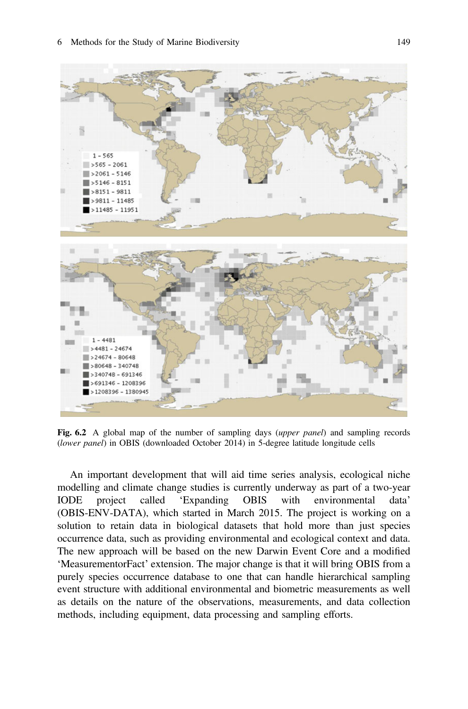<span id="page-20-0"></span>

Fig. 6.2 A global map of the number of sampling days *(upper panel)* and sampling records (lower panel) in OBIS (downloaded October 2014) in 5-degree latitude longitude cells

An important development that will aid time series analysis, ecological niche modelling and climate change studies is currently underway as part of a two-year IODE project called 'Expanding OBIS with environmental data' (OBIS-ENV-DATA), which started in March 2015. The project is working on a solution to retain data in biological datasets that hold more than just species occurrence data, such as providing environmental and ecological context and data. The new approach will be based on the new Darwin Event Core and a modified 'MeasurementorFact' extension. The major change is that it will bring OBIS from a purely species occurrence database to one that can handle hierarchical sampling event structure with additional environmental and biometric measurements as well as details on the nature of the observations, measurements, and data collection methods, including equipment, data processing and sampling efforts.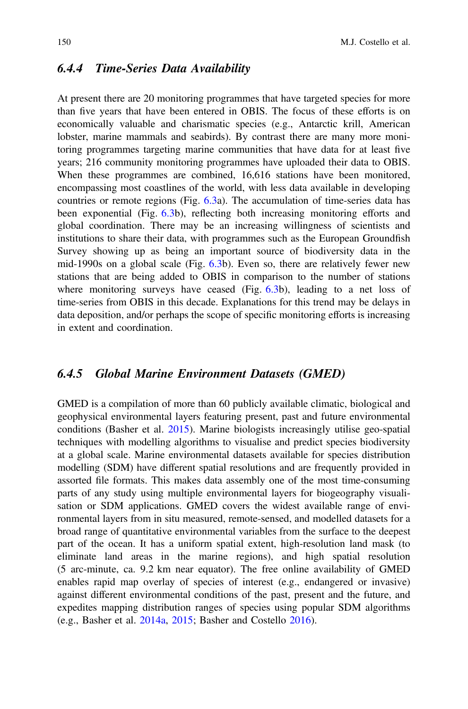#### 6.4.4 Time-Series Data Availability

At present there are 20 monitoring programmes that have targeted species for more than five years that have been entered in OBIS. The focus of these efforts is on economically valuable and charismatic species (e.g., Antarctic krill, American lobster, marine mammals and seabirds). By contrast there are many more monitoring programmes targeting marine communities that have data for at least five years; 216 community monitoring programmes have uploaded their data to OBIS. When these programmes are combined, 16,616 stations have been monitored, encompassing most coastlines of the world, with less data available in developing countries or remote regions (Fig. [6.3](#page-22-0)a). The accumulation of time-series data has been exponential (Fig. [6.3](#page-22-0)b), reflecting both increasing monitoring efforts and global coordination. There may be an increasing willingness of scientists and institutions to share their data, with programmes such as the European Groundfish Survey showing up as being an important source of biodiversity data in the mid-1990s on a global scale (Fig. [6.3b](#page-22-0)). Even so, there are relatively fewer new stations that are being added to OBIS in comparison to the number of stations where monitoring surveys have ceased (Fig.  $(6.3b)$  $(6.3b)$  $(6.3b)$ , leading to a net loss of time-series from OBIS in this decade. Explanations for this trend may be delays in data deposition, and/or perhaps the scope of specific monitoring efforts is increasing in extent and coordination.

#### 6.4.5 Global Marine Environment Datasets (GMED)

GMED is a compilation of more than 60 publicly available climatic, biological and geophysical environmental layers featuring present, past and future environmental conditions (Basher et al. [2015\)](#page-27-0). Marine biologists increasingly utilise geo-spatial techniques with modelling algorithms to visualise and predict species biodiversity at a global scale. Marine environmental datasets available for species distribution modelling (SDM) have different spatial resolutions and are frequently provided in assorted file formats. This makes data assembly one of the most time-consuming parts of any study using multiple environmental layers for biogeography visualisation or SDM applications. GMED covers the widest available range of environmental layers from in situ measured, remote-sensed, and modelled datasets for a broad range of quantitative environmental variables from the surface to the deepest part of the ocean. It has a uniform spatial extent, high-resolution land mask (to eliminate land areas in the marine regions), and high spatial resolution (5 arc-minute, ca. 9.2 km near equator). The free online availability of GMED enables rapid map overlay of species of interest (e.g., endangered or invasive) against different environmental conditions of the past, present and the future, and expedites mapping distribution ranges of species using popular SDM algorithms (e.g., Basher et al. [2014a,](#page-27-0) [2015](#page-27-0); Basher and Costello [2016](#page-27-0)).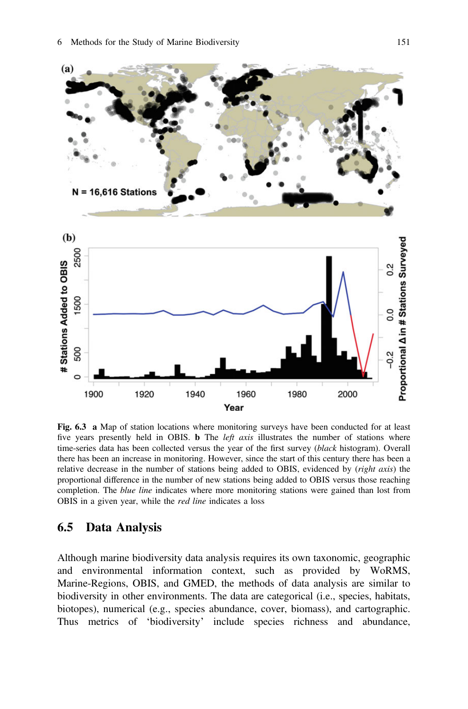<span id="page-22-0"></span>

Fig. 6.3 a Map of station locations where monitoring surveys have been conducted for at least five years presently held in OBIS. **b** The *left axis* illustrates the number of stations where time-series data has been collected versus the year of the first survey (black histogram). Overall there has been an increase in monitoring. However, since the start of this century there has been a relative decrease in the number of stations being added to OBIS, evidenced by (right axis) the proportional difference in the number of new stations being added to OBIS versus those reaching completion. The *blue line* indicates where more monitoring stations were gained than lost from OBIS in a given year, while the red line indicates a loss

# 6.5 Data Analysis

Although marine biodiversity data analysis requires its own taxonomic, geographic and environmental information context, such as provided by WoRMS, Marine-Regions, OBIS, and GMED, the methods of data analysis are similar to biodiversity in other environments. The data are categorical (i.e., species, habitats, biotopes), numerical (e.g., species abundance, cover, biomass), and cartographic. Thus metrics of 'biodiversity' include species richness and abundance,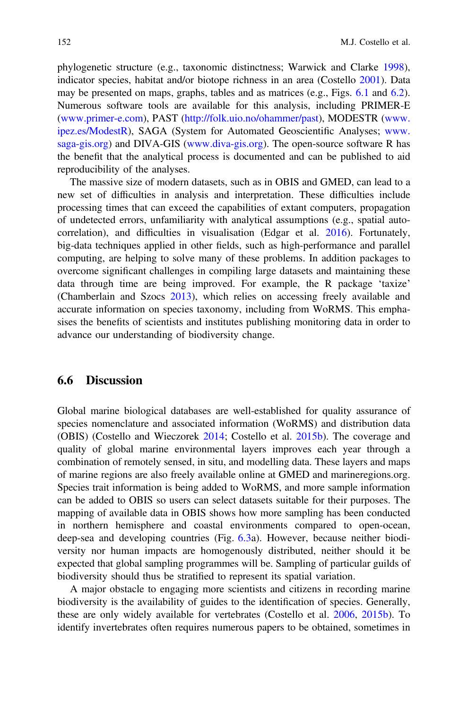phylogenetic structure (e.g., taxonomic distinctness; Warwick and Clarke [1998\)](#page-34-0), indicator species, habitat and/or biotope richness in an area (Costello [2001\)](#page-28-0). Data may be presented on maps, graphs, tables and as matrices (e.g., Figs. [6.1](#page-17-0) and [6.2\)](#page-20-0). Numerous software tools are available for this analysis, including PRIMER-E [\(www.primer-e.com](http://www.primer-e.com)), PAST (<http://folk.uio.no/ohammer/past>), MODESTR [\(www.](http://www.ipez.es/ModestR) [ipez.es/ModestR](http://www.ipez.es/ModestR)), SAGA (System for Automated Geoscientific Analyses; [www.](http://www.saga-gis.org) [saga-gis.org\)](http://www.saga-gis.org) and DIVA-GIS ([www.diva-gis.org](http://www.diva-gis.org)). The open-source software R has the benefit that the analytical process is documented and can be published to aid reproducibility of the analyses.

The massive size of modern datasets, such as in OBIS and GMED, can lead to a new set of difficulties in analysis and interpretation. These difficulties include processing times that can exceed the capabilities of extant computers, propagation of undetected errors, unfamiliarity with analytical assumptions (e.g., spatial autocorrelation), and difficulties in visualisation (Edgar et al. [2016\)](#page-30-0). Fortunately, big-data techniques applied in other fields, such as high-performance and parallel computing, are helping to solve many of these problems. In addition packages to overcome significant challenges in compiling large datasets and maintaining these data through time are being improved. For example, the R package 'taxize' (Chamberlain and Szocs [2013](#page-28-0)), which relies on accessing freely available and accurate information on species taxonomy, including from WoRMS. This emphasises the benefits of scientists and institutes publishing monitoring data in order to advance our understanding of biodiversity change.

#### 6.6 Discussion

Global marine biological databases are well-established for quality assurance of species nomenclature and associated information (WoRMS) and distribution data (OBIS) (Costello and Wieczorek [2014](#page-29-0); Costello et al. [2015b](#page-29-0)). The coverage and quality of global marine environmental layers improves each year through a combination of remotely sensed, in situ, and modelling data. These layers and maps of marine regions are also freely available online at GMED and marineregions.org. Species trait information is being added to WoRMS, and more sample information can be added to OBIS so users can select datasets suitable for their purposes. The mapping of available data in OBIS shows how more sampling has been conducted in northern hemisphere and coastal environments compared to open-ocean, deep-sea and developing countries (Fig. [6.3](#page-22-0)a). However, because neither biodiversity nor human impacts are homogenously distributed, neither should it be expected that global sampling programmes will be. Sampling of particular guilds of biodiversity should thus be stratified to represent its spatial variation.

A major obstacle to engaging more scientists and citizens in recording marine biodiversity is the availability of guides to the identification of species. Generally, these are only widely available for vertebrates (Costello et al. [2006](#page-29-0), [2015b\)](#page-29-0). To identify invertebrates often requires numerous papers to be obtained, sometimes in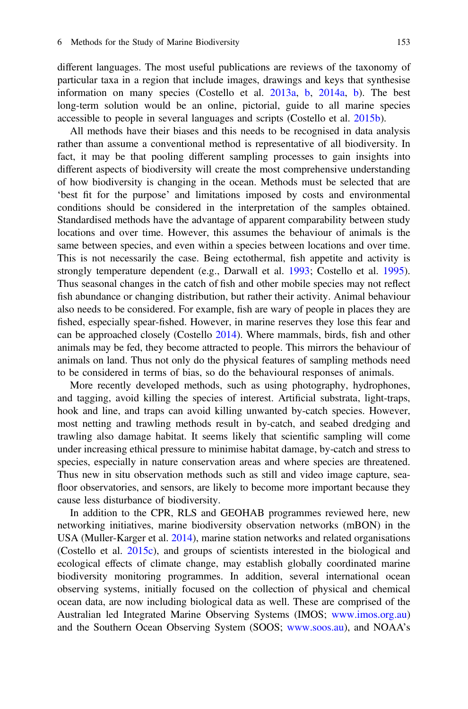different languages. The most useful publications are reviews of the taxonomy of particular taxa in a region that include images, drawings and keys that synthesise information on many species (Costello et al. [2013a](#page-29-0), [b](#page-29-0), [2014a,](#page-29-0) [b](#page-29-0)). The best long-term solution would be an online, pictorial, guide to all marine species accessible to people in several languages and scripts (Costello et al. [2015b](#page-29-0)).

All methods have their biases and this needs to be recognised in data analysis rather than assume a conventional method is representative of all biodiversity. In fact, it may be that pooling different sampling processes to gain insights into different aspects of biodiversity will create the most comprehensive understanding of how biodiversity is changing in the ocean. Methods must be selected that are 'best fit for the purpose' and limitations imposed by costs and environmental conditions should be considered in the interpretation of the samples obtained. Standardised methods have the advantage of apparent comparability between study locations and over time. However, this assumes the behaviour of animals is the same between species, and even within a species between locations and over time. This is not necessarily the case. Being ectothermal, fish appetite and activity is strongly temperature dependent (e.g., Darwall et al. [1993](#page-30-0); Costello et al. [1995\)](#page-29-0). Thus seasonal changes in the catch of fish and other mobile species may not reflect fish abundance or changing distribution, but rather their activity. Animal behaviour also needs to be considered. For example, fish are wary of people in places they are fished, especially spear-fished. However, in marine reserves they lose this fear and can be approached closely (Costello [2014](#page-28-0)). Where mammals, birds, fish and other animals may be fed, they become attracted to people. This mirrors the behaviour of animals on land. Thus not only do the physical features of sampling methods need to be considered in terms of bias, so do the behavioural responses of animals.

More recently developed methods, such as using photography, hydrophones, and tagging, avoid killing the species of interest. Artificial substrata, light-traps, hook and line, and traps can avoid killing unwanted by-catch species. However, most netting and trawling methods result in by-catch, and seabed dredging and trawling also damage habitat. It seems likely that scientific sampling will come under increasing ethical pressure to minimise habitat damage, by-catch and stress to species, especially in nature conservation areas and where species are threatened. Thus new in situ observation methods such as still and video image capture, seafloor observatories, and sensors, are likely to become more important because they cause less disturbance of biodiversity.

In addition to the CPR, RLS and GEOHAB programmes reviewed here, new networking initiatives, marine biodiversity observation networks (mBON) in the USA (Muller-Karger et al. [2014\)](#page-32-0), marine station networks and related organisations (Costello et al. [2015c\)](#page-29-0), and groups of scientists interested in the biological and ecological effects of climate change, may establish globally coordinated marine biodiversity monitoring programmes. In addition, several international ocean observing systems, initially focused on the collection of physical and chemical ocean data, are now including biological data as well. These are comprised of the Australian led Integrated Marine Observing Systems (IMOS; [www.imos.org.au](http://www.imos.org.au)) and the Southern Ocean Observing System (SOOS; [www.soos.au](http://www.soos.au)), and NOAA's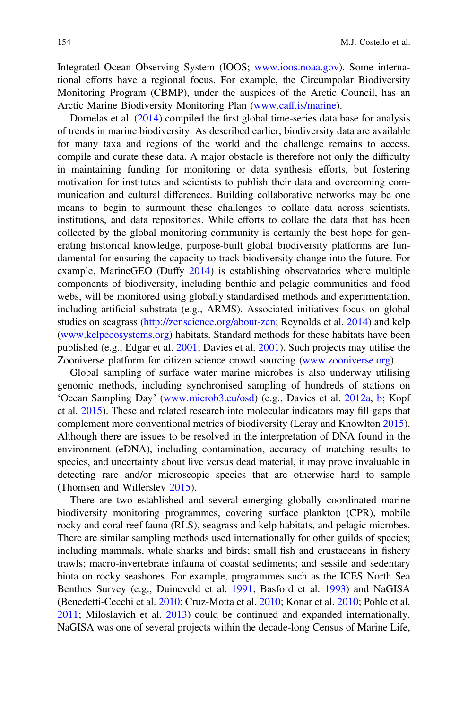Integrated Ocean Observing System (IOOS; [www.ioos.noaa.gov](http://www.ioos.noaa.gov)). Some international efforts have a regional focus. For example, the Circumpolar Biodiversity Monitoring Program (CBMP), under the auspices of the Arctic Council, has an Arctic Marine Biodiversity Monitoring Plan [\(www.caff.is/marine\)](http://www.caff.is/marine).

Dornelas et al. [\(2014](#page-30-0)) compiled the first global time-series data base for analysis of trends in marine biodiversity. As described earlier, biodiversity data are available for many taxa and regions of the world and the challenge remains to access, compile and curate these data. A major obstacle is therefore not only the difficulty in maintaining funding for monitoring or data synthesis efforts, but fostering motivation for institutes and scientists to publish their data and overcoming communication and cultural differences. Building collaborative networks may be one means to begin to surmount these challenges to collate data across scientists, institutions, and data repositories. While efforts to collate the data that has been collected by the global monitoring community is certainly the best hope for generating historical knowledge, purpose-built global biodiversity platforms are fundamental for ensuring the capacity to track biodiversity change into the future. For example, MarineGEO (Duffy [2014\)](#page-30-0) is establishing observatories where multiple components of biodiversity, including benthic and pelagic communities and food webs, will be monitored using globally standardised methods and experimentation, including artificial substrata (e.g., ARMS). Associated initiatives focus on global studies on seagrass [\(http://zenscience.org/about-zen;](http://zenscience.org/about-zen) Reynolds et al. [2014\)](#page-33-0) and kelp [\(www.kelpecosystems.org\)](http://www.kelpecosystems.org) habitats. Standard methods for these habitats have been published (e.g., Edgar et al. [2001;](#page-30-0) Davies et al. [2001\)](#page-30-0). Such projects may utilise the Zooniverse platform for citizen science crowd sourcing [\(www.zooniverse.org\)](http://www.zooniverse.org).

Global sampling of surface water marine microbes is also underway utilising genomic methods, including synchronised sampling of hundreds of stations on 'Ocean Sampling Day' ([www.microb3.eu/osd](http://www.microb3.eu/osd)) (e.g., Davies et al. [2012a](#page-30-0), [b;](#page-30-0) Kopf et al. [2015](#page-32-0)). These and related research into molecular indicators may fill gaps that complement more conventional metrics of biodiversity (Leray and Knowlton [2015\)](#page-32-0). Although there are issues to be resolved in the interpretation of DNA found in the environment (eDNA), including contamination, accuracy of matching results to species, and uncertainty about live versus dead material, it may prove invaluable in detecting rare and/or microscopic species that are otherwise hard to sample (Thomsen and Willerslev [2015](#page-33-0)).

There are two established and several emerging globally coordinated marine biodiversity monitoring programmes, covering surface plankton (CPR), mobile rocky and coral reef fauna (RLS), seagrass and kelp habitats, and pelagic microbes. There are similar sampling methods used internationally for other guilds of species; including mammals, whale sharks and birds; small fish and crustaceans in fishery trawls; macro-invertebrate infauna of coastal sediments; and sessile and sedentary biota on rocky seashores. For example, programmes such as the ICES North Sea Benthos Survey (e.g., Duineveld et al. [1991;](#page-30-0) Basford et al. [1993\)](#page-27-0) and NaGISA (Benedetti-Cecchi et al. [2010](#page-27-0); Cruz-Motta et al. [2010;](#page-30-0) Konar et al. [2010;](#page-32-0) Pohle et al. [2011;](#page-33-0) Miloslavich et al. [2013\)](#page-32-0) could be continued and expanded internationally. NaGISA was one of several projects within the decade-long Census of Marine Life,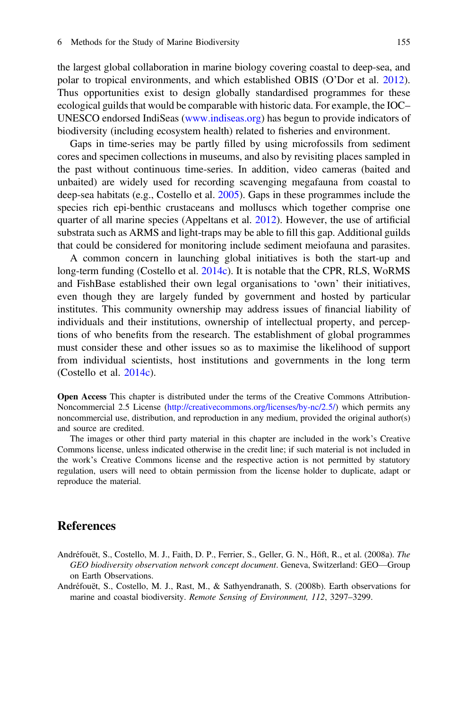<span id="page-26-0"></span>the largest global collaboration in marine biology covering coastal to deep-sea, and polar to tropical environments, and which established OBIS (O'Dor et al. [2012\)](#page-32-0). Thus opportunities exist to design globally standardised programmes for these ecological guilds that would be comparable with historic data. For example, the IOC– UNESCO endorsed IndiSeas ([www.indiseas.org](http://www.indiseas.org)) has begun to provide indicators of biodiversity (including ecosystem health) related to fisheries and environment.

Gaps in time-series may be partly filled by using microfossils from sediment cores and specimen collections in museums, and also by revisiting places sampled in the past without continuous time-series. In addition, video cameras (baited and unbaited) are widely used for recording scavenging megafauna from coastal to deep-sea habitats (e.g., Costello et al. [2005\)](#page-29-0). Gaps in these programmes include the species rich epi-benthic crustaceans and molluscs which together comprise one quarter of all marine species (Appeltans et al. [2012\)](#page-27-0). However, the use of artificial substrata such as ARMS and light-traps may be able to fill this gap. Additional guilds that could be considered for monitoring include sediment meiofauna and parasites.

A common concern in launching global initiatives is both the start-up and long-term funding (Costello et al. [2014c\)](#page-29-0). It is notable that the CPR, RLS, WoRMS and FishBase established their own legal organisations to 'own' their initiatives, even though they are largely funded by government and hosted by particular institutes. This community ownership may address issues of financial liability of individuals and their institutions, ownership of intellectual property, and perceptions of who benefits from the research. The establishment of global programmes must consider these and other issues so as to maximise the likelihood of support from individual scientists, host institutions and governments in the long term (Costello et al. [2014c\)](#page-29-0).

Open Access This chapter is distributed under the terms of the Creative Commons Attribution-Noncommercial 2.5 License [\(http://creativecommons.org/licenses/by-nc/2.5/\)](http://creativecommons.org/licenses/by-nc/2.5/) which permits any noncommercial use, distribution, and reproduction in any medium, provided the original author(s) and source are credited.

The images or other third party material in this chapter are included in the work's Creative Commons license, unless indicated otherwise in the credit line; if such material is not included in the work's Creative Commons license and the respective action is not permitted by statutory regulation, users will need to obtain permission from the license holder to duplicate, adapt or reproduce the material.

## References

Andréfouët, S., Costello, M. J., Faith, D. P., Ferrier, S., Geller, G. N., Höft, R., et al. (2008a). The GEO biodiversity observation network concept document. Geneva, Switzerland: GEO—Group on Earth Observations.

Andréfouët, S., Costello, M. J., Rast, M., & Sathyendranath, S. (2008b). Earth observations for marine and coastal biodiversity. Remote Sensing of Environment, 112, 3297–3299.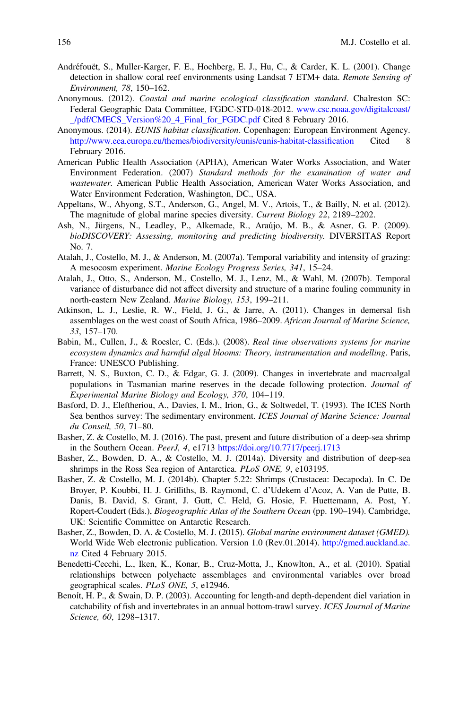- <span id="page-27-0"></span>Andréfouët, S., Muller-Karger, F. E., Hochberg, E. J., Hu, C., & Carder, K. L. (2001). Change detection in shallow coral reef environments using Landsat 7 ETM+ data. Remote Sensing of Environment, 78, 150–162.
- Anonymous. (2012). Coastal and marine ecological classification standard. Chalreston SC: Federal Geographic Data Committee, FGDC-STD-018-2012. [www.csc.noaa.gov/digitalcoast/](http://www.csc.noaa.gov/digitalcoast/_/pdf/CMECS_Version%20_4_Final_for_FGDC.pdf) [\\_/pdf/CMECS\\_Version%20\\_4\\_Final\\_for\\_FGDC.pdf](http://www.csc.noaa.gov/digitalcoast/_/pdf/CMECS_Version%20_4_Final_for_FGDC.pdf) Cited 8 February 2016.
- Anonymous. (2014). EUNIS habitat classification. Copenhagen: European Environment Agency. [http://www.eea.europa.eu/themes/biodiversity/eunis/eunis-habitat-classi](http://www.eea.europa.eu/themes/biodiversity/eunis/eunis-habitat-classification)fication Cited 8 February 2016.
- American Public Health Association (APHA), American Water Works Association, and Water Environment Federation. (2007) Standard methods for the examination of water and wastewater. American Public Health Association, American Water Works Association, and Water Environment Federation, Washington, DC., USA.
- Appeltans, W., Ahyong, S.T., Anderson, G., Angel, M. V., Artois, T., & Bailly, N. et al. (2012). The magnitude of global marine species diversity. Current Biology 22, 2189–2202.
- Ash, N., Jürgens, N., Leadley, P., Alkemade, R., Araújo, M. B., & Asner, G. P. (2009). bioDISCOVERY: Assessing, monitoring and predicting biodiversity. DIVERSITAS Report No. 7.
- Atalah, J., Costello, M. J., & Anderson, M. (2007a). Temporal variability and intensity of grazing: A mesocosm experiment. Marine Ecology Progress Series, 341, 15–24.
- Atalah, J., Otto, S., Anderson, M., Costello, M. J., Lenz, M., & Wahl, M. (2007b). Temporal variance of disturbance did not affect diversity and structure of a marine fouling community in north-eastern New Zealand. Marine Biology, 153, 199–211.
- Atkinson, L. J., Leslie, R. W., Field, J. G., & Jarre, A. (2011). Changes in demersal fish assemblages on the west coast of South Africa, 1986–2009. African Journal of Marine Science, 33, 157–170.
- Babin, M., Cullen, J., & Roesler, C. (Eds.). (2008). Real time observations systems for marine ecosystem dynamics and harmful algal blooms: Theory, instrumentation and modelling. Paris, France: UNESCO Publishing.
- Barrett, N. S., Buxton, C. D., & Edgar, G. J. (2009). Changes in invertebrate and macroalgal populations in Tasmanian marine reserves in the decade following protection. Journal of Experimental Marine Biology and Ecology, 370, 104–119.
- Basford, D. J., Eleftheriou, A., Davies, I. M., Irion, G., & Soltwedel, T. (1993). The ICES North Sea benthos survey: The sedimentary environment. ICES Journal of Marine Science: Journal du Conseil, 50, 71–80.
- Basher, Z. & Costello, M. J. (2016). The past, present and future distribution of a deep-sea shrimp in the Southern Ocean. PeerJ, 4, e1713 <https://doi.org/10.7717/peerj.1713>
- Basher, Z., Bowden, D. A., & Costello, M. J. (2014a). Diversity and distribution of deep-sea shrimps in the Ross Sea region of Antarctica. PLoS ONE, 9, e103195.
- Basher, Z. & Costello, M. J. (2014b). Chapter 5.22: Shrimps (Crustacea: Decapoda). In C. De Broyer, P. Koubbi, H. J. Griffiths, B. Raymond, C. d'Udekem d'Acoz, A. Van de Putte, B. Danis, B. David, S. Grant, J. Gutt, C. Held, G. Hosie, F. Huettemann, A. Post, Y. Ropert-Coudert (Eds.), Biogeographic Atlas of the Southern Ocean (pp. 190–194). Cambridge, UK: Scientific Committee on Antarctic Research.
- Basher, Z., Bowden, D. A. & Costello, M. J. (2015). Global marine environment dataset (GMED). World Wide Web electronic publication. Version 1.0 (Rev.01.2014). [http://gmed.auckland.ac.](http://gmed.auckland.ac.nz) [nz](http://gmed.auckland.ac.nz) Cited 4 February 2015.
- Benedetti-Cecchi, L., Iken, K., Konar, B., Cruz-Motta, J., Knowlton, A., et al. (2010). Spatial relationships between polychaete assemblages and environmental variables over broad geographical scales. PLoS ONE, 5, e12946.
- Benoít, H. P., & Swain, D. P. (2003). Accounting for length-and depth-dependent diel variation in catchability of fish and invertebrates in an annual bottom-trawl survey. ICES Journal of Marine Science, 60, 1298–1317.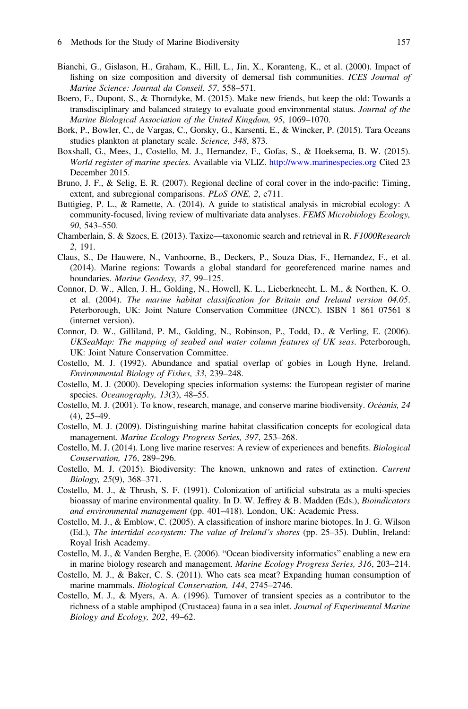- <span id="page-28-0"></span>Bianchi, G., Gislason, H., Graham, K., Hill, L., Jin, X., Koranteng, K., et al. (2000). Impact of fishing on size composition and diversity of demersal fish communities. ICES Journal of Marine Science: Journal du Conseil, 57, 558–571.
- Boero, F., Dupont, S., & Thorndyke, M. (2015). Make new friends, but keep the old: Towards a transdisciplinary and balanced strategy to evaluate good environmental status. Journal of the Marine Biological Association of the United Kingdom, 95, 1069–1070.
- Bork, P., Bowler, C., de Vargas, C., Gorsky, G., Karsenti, E., & Wincker, P. (2015). Tara Oceans studies plankton at planetary scale. Science, 348, 873.
- Boxshall, G., Mees, J., Costello, M. J., Hernandez, F., Gofas, S., & Hoeksema, B. W. (2015). World register of marine species. Available via VLIZ. <http://www.marinespecies.org> Cited 23 December 2015.
- Bruno, J. F., & Selig, E. R. (2007). Regional decline of coral cover in the indo-pacific: Timing, extent, and subregional comparisons. PLoS ONE, 2, e711.
- Buttigieg, P. L., & Ramette, A. (2014). A guide to statistical analysis in microbial ecology: A community-focused, living review of multivariate data analyses. FEMS Microbiology Ecology, 90, 543–550.
- Chamberlain, S. & Szocs, E. (2013). Taxize—taxonomic search and retrieval in R. F1000Research 2, 191.
- Claus, S., De Hauwere, N., Vanhoorne, B., Deckers, P., Souza Dias, F., Hernandez, F., et al. (2014). Marine regions: Towards a global standard for georeferenced marine names and boundaries. Marine Geodesy, 37, 99–125.
- Connor, D. W., Allen, J. H., Golding, N., Howell, K. L., Lieberknecht, L. M., & Northen, K. O. et al. (2004). The marine habitat classification for Britain and Ireland version 04.05. Peterborough, UK: Joint Nature Conservation Committee (JNCC). ISBN 1 861 07561 8 (internet version).
- Connor, D. W., Gilliland, P. M., Golding, N., Robinson, P., Todd, D., & Verling, E. (2006). UKSeaMap: The mapping of seabed and water column features of UK seas. Peterborough, UK: Joint Nature Conservation Committee.
- Costello, M. J. (1992). Abundance and spatial overlap of gobies in Lough Hyne, Ireland. Environmental Biology of Fishes, 33, 239–248.
- Costello, M. J. (2000). Developing species information systems: the European register of marine species. Oceanography, 13(3), 48-55.
- Costello, M. J. (2001). To know, research, manage, and conserve marine biodiversity. Océanis, 24 (4), 25–49.
- Costello, M. J. (2009). Distinguishing marine habitat classification concepts for ecological data management. Marine Ecology Progress Series, 397, 253–268.
- Costello, M. J. (2014). Long live marine reserves: A review of experiences and benefits. Biological Conservation, 176, 289–296.
- Costello, M. J. (2015). Biodiversity: The known, unknown and rates of extinction. Current Biology, 25(9), 368–371.
- Costello, M. J., & Thrush, S. F. (1991). Colonization of artificial substrata as a multi-species bioassay of marine environmental quality. In D. W. Jeffrey & B. Madden (Eds.), Bioindicators and environmental management (pp. 401–418). London, UK: Academic Press.
- Costello, M. J., & Emblow, C. (2005). A classification of inshore marine biotopes. In J. G. Wilson (Ed.), The intertidal ecosystem: The value of Ireland's shores (pp. 25–35). Dublin, Ireland: Royal Irish Academy.
- Costello, M. J., & Vanden Berghe, E. (2006). "Ocean biodiversity informatics" enabling a new era in marine biology research and management. Marine Ecology Progress Series, 316, 203–214.
- Costello, M. J., & Baker, C. S. (2011). Who eats sea meat? Expanding human consumption of marine mammals. Biological Conservation, 144, 2745–2746.
- Costello, M. J., & Myers, A. A. (1996). Turnover of transient species as a contributor to the richness of a stable amphipod (Crustacea) fauna in a sea inlet. Journal of Experimental Marine Biology and Ecology, 202, 49–62.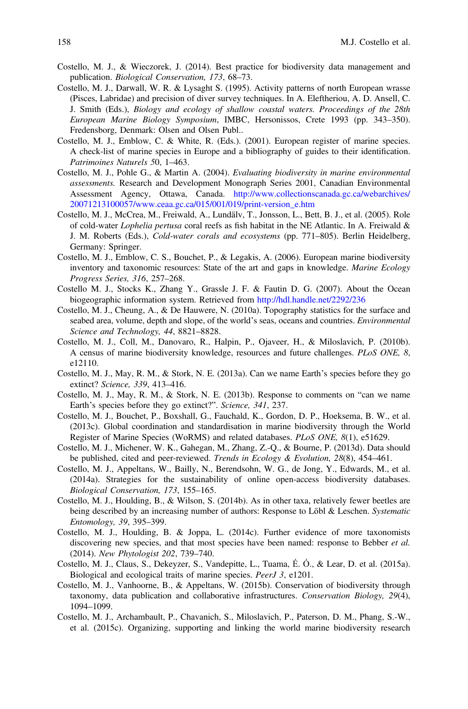- <span id="page-29-0"></span>Costello, M. J., & Wieczorek, J. (2014). Best practice for biodiversity data management and publication. Biological Conservation, 173, 68–73.
- Costello, M. J., Darwall, W. R. & Lysaght S. (1995). Activity patterns of north European wrasse (Pisces, Labridae) and precision of diver survey techniques. In A. Eleftheriou, A. D. Ansell, C. J. Smith (Eds.), Biology and ecology of shallow coastal waters. Proceedings of the 28th European Marine Biology Symposium, IMBC, Hersonissos, Crete 1993 (pp. 343–350). Fredensborg, Denmark: Olsen and Olsen Publ..
- Costello, M. J., Emblow, C. & White, R. (Eds.). (2001). European register of marine species. A check-list of marine species in Europe and a bibliography of guides to their identification. Patrimoines Naturels 50, 1–463.
- Costello, M. J., Pohle G., & Martin A. (2004). Evaluating biodiversity in marine environmental assessments. Research and Development Monograph Series 2001, Canadian Environmental Assessment Agency, Ottawa, Canada. [http://www.collectionscanada.gc.ca/webarchives/](http://www.collectionscanada.gc.ca/webarchives/20071213100057/www.ceaa.gc.ca/015/001/019/print-version_e.htm) [20071213100057/www.ceaa.gc.ca/015/001/019/print-version\\_e.htm](http://www.collectionscanada.gc.ca/webarchives/20071213100057/www.ceaa.gc.ca/015/001/019/print-version_e.htm)
- Costello, M. J., McCrea, M., Freiwald, A., Lundälv, T., Jonsson, L., Bett, B. J., et al. (2005). Role of cold-water *Lophelia pertusa* coral reefs as fish habitat in the NE Atlantic. In A. Freiwald & J. M. Roberts (Eds.), *Cold-water corals and ecosystems* (pp. 771–805). Berlin Heidelberg, Germany: Springer.
- Costello, M. J., Emblow, C. S., Bouchet, P., & Legakis, A. (2006). European marine biodiversity inventory and taxonomic resources: State of the art and gaps in knowledge. Marine Ecology Progress Series, 316, 257–268.
- Costello M. J., Stocks K., Zhang Y., Grassle J. F. & Fautin D. G. (2007). About the Ocean biogeographic information system. Retrieved from <http://hdl.handle.net/2292/236>
- Costello, M. J., Cheung, A., & De Hauwere, N. (2010a). Topography statistics for the surface and seabed area, volume, depth and slope, of the world's seas, oceans and countries. Environmental Science and Technology, 44, 8821–8828.
- Costello, M. J., Coll, M., Danovaro, R., Halpin, P., Ojaveer, H., & Miloslavich, P. (2010b). A census of marine biodiversity knowledge, resources and future challenges. PLoS ONE, 8, e12110.
- Costello, M. J., May, R. M., & Stork, N. E. (2013a). Can we name Earth's species before they go extinct? Science, 339, 413–416.
- Costello, M. J., May, R. M., & Stork, N. E. (2013b). Response to comments on "can we name Earth's species before they go extinct?". Science, 341, 237.
- Costello, M. J., Bouchet, P., Boxshall, G., Fauchald, K., Gordon, D. P., Hoeksema, B. W., et al. (2013c). Global coordination and standardisation in marine biodiversity through the World Register of Marine Species (WoRMS) and related databases. PLoS ONE, 8(1), e51629.
- Costello, M. J., Michener, W. K., Gahegan, M., Zhang, Z.-Q., & Bourne, P. (2013d). Data should be published, cited and peer-reviewed. Trends in Ecology & Evolution, 28(8), 454–461.
- Costello, M. J., Appeltans, W., Bailly, N., Berendsohn, W. G., de Jong, Y., Edwards, M., et al. (2014a). Strategies for the sustainability of online open-access biodiversity databases. Biological Conservation, 173, 155–165.
- Costello, M. J., Houlding, B., & Wilson, S. (2014b). As in other taxa, relatively fewer beetles are being described by an increasing number of authors: Response to Löbl & Leschen. Systematic Entomology, 39, 395–399.
- Costello, M. J., Houlding, B. & Joppa, L. (2014c). Further evidence of more taxonomists discovering new species, and that most species have been named: response to Bebber et al. (2014). New Phytologist 202, 739–740.
- Costello, M. J., Claus, S., Dekeyzer, S., Vandepitte, L., Tuama, É. Ó., & Lear, D. et al. (2015a). Biological and ecological traits of marine species. PeerJ 3, e1201.
- Costello, M. J., Vanhoorne, B., & Appeltans, W. (2015b). Conservation of biodiversity through taxonomy, data publication and collaborative infrastructures. Conservation Biology, 29(4), 1094–1099.
- Costello, M. J., Archambault, P., Chavanich, S., Miloslavich, P., Paterson, D. M., Phang, S.-W., et al. (2015c). Organizing, supporting and linking the world marine biodiversity research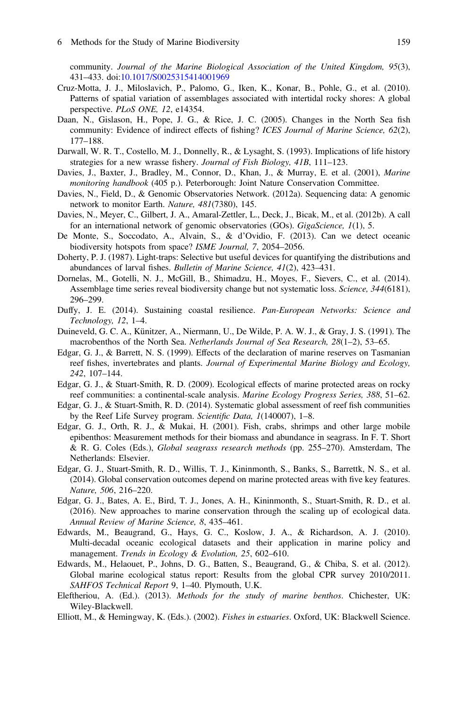<span id="page-30-0"></span>community. Journal of the Marine Biological Association of the United Kingdom, 95(3), 431–433. doi[:10.1017/S0025315414001969](http://dx.doi.org/10.1017/S0025315414001969)

- Cruz-Motta, J. J., Miloslavich, P., Palomo, G., Iken, K., Konar, B., Pohle, G., et al. (2010). Patterns of spatial variation of assemblages associated with intertidal rocky shores: A global perspective. PLoS ONE, 12, e14354.
- Daan, N., Gislason, H., Pope, J. G., & Rice, J. C. (2005). Changes in the North Sea fish community: Evidence of indirect effects of fishing? ICES Journal of Marine Science, 62(2), 177–188.
- Darwall, W. R. T., Costello, M. J., Donnelly, R., & Lysaght, S. (1993). Implications of life history strategies for a new wrasse fishery. Journal of Fish Biology, 41B, 111–123.
- Davies, J., Baxter, J., Bradley, M., Connor, D., Khan, J., & Murray, E. et al. (2001), Marine monitoring handbook (405 p.). Peterborough: Joint Nature Conservation Committee.
- Davies, N., Field, D., & Genomic Observatories Network. (2012a). Sequencing data: A genomic network to monitor Earth. Nature, 481(7380), 145.
- Davies, N., Meyer, C., Gilbert, J. A., Amaral-Zettler, L., Deck, J., Bicak, M., et al. (2012b). A call for an international network of genomic observatories (GOs). GigaScience, 1(1), 5.
- De Monte, S., Soccodato, A., Alvain, S., & d'Ovidio, F. (2013). Can we detect oceanic biodiversity hotspots from space? ISME Journal, 7, 2054–2056.
- Doherty, P. J. (1987). Light-traps: Selective but useful devices for quantifying the distributions and abundances of larval fishes. Bulletin of Marine Science, 41(2), 423–431.
- Dornelas, M., Gotelli, N. J., McGill, B., Shimadzu, H., Moyes, F., Sievers, C., et al. (2014). Assemblage time series reveal biodiversity change but not systematic loss. Science, 344(6181), 296–299.
- Duffy, J. E. (2014). Sustaining coastal resilience. Pan-European Networks: Science and Technology, 12, 1–4.
- Duineveld, G. C. A., Künitzer, A., Niermann, U., De Wilde, P. A. W. J., & Gray, J. S. (1991). The macrobenthos of the North Sea. Netherlands Journal of Sea Research, 28(1–2), 53–65.
- Edgar, G. J., & Barrett, N. S. (1999). Effects of the declaration of marine reserves on Tasmanian reef fishes, invertebrates and plants. Journal of Experimental Marine Biology and Ecology, 242, 107–144.
- Edgar, G. J., & Stuart-Smith, R. D. (2009). Ecological effects of marine protected areas on rocky reef communities: a continental-scale analysis. Marine Ecology Progress Series, 388, 51–62.
- Edgar, G. J., & Stuart-Smith, R. D. (2014). Systematic global assessment of reef fish communities by the Reef Life Survey program. Scientific Data, 1(140007), 1-8.
- Edgar, G. J., Orth, R. J., & Mukai, H. (2001). Fish, crabs, shrimps and other large mobile epibenthos: Measurement methods for their biomass and abundance in seagrass. In F. T. Short & R. G. Coles (Eds.), Global seagrass research methods (pp. 255–270). Amsterdam, The Netherlands: Elsevier.
- Edgar, G. J., Stuart-Smith, R. D., Willis, T. J., Kininmonth, S., Banks, S., Barrettk, N. S., et al. (2014). Global conservation outcomes depend on marine protected areas with five key features. Nature, 506, 216–220.
- Edgar, G. J., Bates, A. E., Bird, T. J., Jones, A. H., Kininmonth, S., Stuart-Smith, R. D., et al. (2016). New approaches to marine conservation through the scaling up of ecological data. Annual Review of Marine Science, 8, 435–461.
- Edwards, M., Beaugrand, G., Hays, G. C., Koslow, J. A., & Richardson, A. J. (2010). Multi-decadal oceanic ecological datasets and their application in marine policy and management. Trends in Ecology & Evolution, 25, 602-610.
- Edwards, M., Helaouet, P., Johns, D. G., Batten, S., Beaugrand, G., & Chiba, S. et al. (2012). Global marine ecological status report: Results from the global CPR survey 2010/2011. SAHFOS Technical Report 9, 1-40. Plymouth, U.K.
- Eleftheriou, A. (Ed.). (2013). Methods for the study of marine benthos. Chichester, UK: Wiley-Blackwell.
- Elliott, M., & Hemingway, K. (Eds.). (2002). Fishes in estuaries. Oxford, UK: Blackwell Science.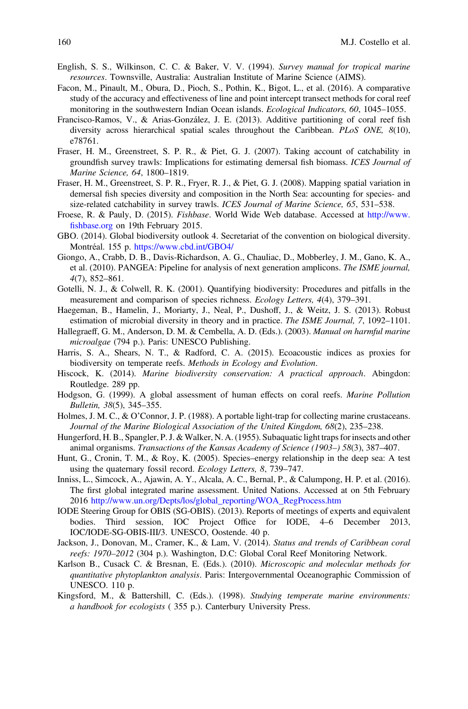- <span id="page-31-0"></span>English, S. S., Wilkinson, C. C. & Baker, V. V. (1994). Survey manual for tropical marine resources. Townsville, Australia: Australian Institute of Marine Science (AIMS).
- Facon, M., Pinault, M., Obura, D., Pioch, S., Pothin, K., Bigot, L., et al. (2016). A comparative study of the accuracy and effectiveness of line and point intercept transect methods for coral reef monitoring in the southwestern Indian Ocean islands. *Ecological Indicators*, 60, 1045–1055.
- Francisco-Ramos, V., & Arias-González, J. E. (2013). Additive partitioning of coral reef fish diversity across hierarchical spatial scales throughout the Caribbean. PLoS ONE, 8(10), e78761.
- Fraser, H. M., Greenstreet, S. P. R., & Piet, G. J. (2007). Taking account of catchability in groundfish survey trawls: Implications for estimating demersal fish biomass. ICES Journal of Marine Science, 64, 1800–1819.
- Fraser, H. M., Greenstreet, S. P. R., Fryer, R. J., & Piet, G. J. (2008). Mapping spatial variation in demersal fish species diversity and composition in the North Sea: accounting for species- and size-related catchability in survey trawls. ICES Journal of Marine Science, 65, 531-538.
- Froese, R. & Pauly, D. (2015). Fishbase. World Wide Web database. Accessed at [http://www.](http://www.fishbase.org) fi[shbase.org](http://www.fishbase.org) on 19th February 2015.
- GBO. (2014). Global biodiversity outlook 4. Secretariat of the convention on biological diversity. Montréal. 155 p. <https://www.cbd.int/GBO4/>
- Giongo, A., Crabb, D. B., Davis-Richardson, A. G., Chauliac, D., Mobberley, J. M., Gano, K. A., et al. (2010). PANGEA: Pipeline for analysis of next generation amplicons. The ISME journal, 4(7), 852–861.
- Gotelli, N. J., & Colwell, R. K. (2001). Quantifying biodiversity: Procedures and pitfalls in the measurement and comparison of species richness. *Ecology Letters*, 4(4), 379–391.
- Haegeman, B., Hamelin, J., Moriarty, J., Neal, P., Dushoff, J., & Weitz, J. S. (2013). Robust estimation of microbial diversity in theory and in practice. The ISME Journal, 7, 1092-1101.
- Hallegraeff, G. M., Anderson, D. M. & Cembella, A. D. (Eds.). (2003). Manual on harmful marine microalgae (794 p.). Paris: UNESCO Publishing.
- Harris, S. A., Shears, N. T., & Radford, C. A. (2015). Ecoacoustic indices as proxies for biodiversity on temperate reefs. Methods in Ecology and Evolution.
- Hiscock, K. (2014). Marine biodiversity conservation: A practical approach. Abingdon: Routledge. 289 pp.
- Hodgson, G. (1999). A global assessment of human effects on coral reefs. Marine Pollution Bulletin, 38(5), 345–355.
- Holmes, J. M. C., & O'Connor, J. P. (1988). A portable light-trap for collecting marine crustaceans. Journal of the Marine Biological Association of the United Kingdom, 68(2), 235–238.
- Hungerford, H. B., Spangler, P. J. & Walker, N. A. (1955). Subaquatic light traps for insects and other animal organisms. Transactions of the Kansas Academy of Science (1903-) 58(3), 387-407.
- Hunt, G., Cronin, T. M., & Roy, K. (2005). Species–energy relationship in the deep sea: A test using the quaternary fossil record. Ecology Letters, 8, 739–747.
- Inniss, L., Simcock, A., Ajawin, A. Y., Alcala, A. C., Bernal, P., & Calumpong, H. P. et al. (2016). The first global integrated marine assessment. United Nations. Accessed at on 5th February 2016 [http://www.un.org/Depts/los/global\\_reporting/WOA\\_RegProcess.htm](http://www.un.org/Depts/los/global_reporting/WOA_RegProcess.htm)
- IODE Steering Group for OBIS (SG-OBIS). (2013). Reports of meetings of experts and equivalent bodies. Third session, IOC Project Office for IODE, 4–6 December 2013, IOC/IODE-SG-OBIS-III/3. UNESCO, Oostende. 40 p.
- Jackson, J., Donovan, M., Cramer, K., & Lam, V. (2014). Status and trends of Caribbean coral reefs: 1970-2012 (304 p.). Washington, D.C: Global Coral Reef Monitoring Network.
- Karlson B., Cusack C. & Bresnan, E. (Eds.). (2010). Microscopic and molecular methods for quantitative phytoplankton analysis. Paris: Intergovernmental Oceanographic Commission of UNESCO. 110 p.
- Kingsford, M., & Battershill, C. (Eds.). (1998). Studying temperate marine environments: a handbook for ecologists ( 355 p.). Canterbury University Press.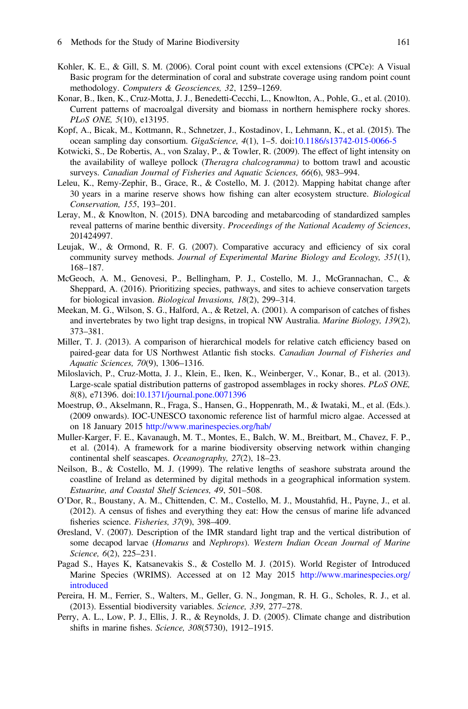- <span id="page-32-0"></span>Kohler, K. E., & Gill, S. M. (2006). Coral point count with excel extensions (CPCe): A Visual Basic program for the determination of coral and substrate coverage using random point count methodology. Computers & Geosciences, 32, 1259–1269.
- Konar, B., Iken, K., Cruz-Motta, J. J., Benedetti-Cecchi, L., Knowlton, A., Pohle, G., et al. (2010). Current patterns of macroalgal diversity and biomass in northern hemisphere rocky shores. PLoS ONE, 5(10), e13195.
- Kopf, A., Bicak, M., Kottmann, R., Schnetzer, J., Kostadinov, I., Lehmann, K., et al. (2015). The ocean sampling day consortium. GigaScience, 4(1), 1-5. doi[:10.1186/s13742-015-0066-5](http://dx.doi.org/10.1186/s13742-015-0066-5)
- Kotwicki, S., De Robertis, A., von Szalay, P., & Towler, R. (2009). The effect of light intensity on the availability of walleye pollock (Theragra chalcogramma) to bottom trawl and acoustic surveys. Canadian Journal of Fisheries and Aquatic Sciences, 66(6), 983–994.
- Leleu, K., Remy-Zephir, B., Grace, R., & Costello, M. J. (2012). Mapping habitat change after 30 years in a marine reserve shows how fishing can alter ecosystem structure. Biological Conservation, 155, 193–201.
- Leray, M., & Knowlton, N. (2015). DNA barcoding and metabarcoding of standardized samples reveal patterns of marine benthic diversity. Proceedings of the National Academy of Sciences, 201424997.
- Leujak, W., & Ormond, R. F. G. (2007). Comparative accuracy and efficiency of six coral community survey methods. Journal of Experimental Marine Biology and Ecology, 351(1), 168–187.
- McGeoch, A. M., Genovesi, P., Bellingham, P. J., Costello, M. J., McGrannachan, C., & Sheppard, A. (2016). Prioritizing species, pathways, and sites to achieve conservation targets for biological invasion. Biological Invasions, 18(2), 299–314.
- Meekan, M. G., Wilson, S. G., Halford, A., & Retzel, A. (2001). A comparison of catches of fishes and invertebrates by two light trap designs, in tropical NW Australia. Marine Biology, 139(2), 373–381.
- Miller, T. J. (2013). A comparison of hierarchical models for relative catch efficiency based on paired-gear data for US Northwest Atlantic fish stocks. Canadian Journal of Fisheries and Aquatic Sciences, 70(9), 1306–1316.
- Miloslavich, P., Cruz-Motta, J. J., Klein, E., Iken, K., Weinberger, V., Konar, B., et al. (2013). Large-scale spatial distribution patterns of gastropod assemblages in rocky shores. PLoS ONE, 8(8), e71396. doi:[10.1371/journal.pone.0071396](http://dx.doi.org/10.1371/journal.pone.0071396)
- Moestrup, Ø., Akselmann, R., Fraga, S., Hansen, G., Hoppenrath, M., & Iwataki, M., et al. (Eds.). (2009 onwards). IOC-UNESCO taxonomic reference list of harmful micro algae. Accessed at on 18 January 2015 <http://www.marinespecies.org/hab/>
- Muller-Karger, F. E., Kavanaugh, M. T., Montes, E., Balch, W. M., Breitbart, M., Chavez, F. P., et al. (2014). A framework for a marine biodiversity observing network within changing continental shelf seascapes. Oceanography, 27(2), 18-23.
- Neilson, B., & Costello, M. J. (1999). The relative lengths of seashore substrata around the coastline of Ireland as determined by digital methods in a geographical information system. Estuarine, and Coastal Shelf Sciences, 49, 501–508.
- O'Dor, R., Boustany, A. M., Chittenden, C. M., Costello, M. J., Moustahfid, H., Payne, J., et al. (2012). A census of fishes and everything they eat: How the census of marine life advanced fisheries science. Fisheries, 37(9), 398–409.
- Øresland, V. (2007). Description of the IMR standard light trap and the vertical distribution of some decapod larvae (Homarus and Nephrops). Western Indian Ocean Journal of Marine Science, 6(2), 225–231.
- Pagad S., Hayes K, Katsanevakis S., & Costello M. J. (2015). World Register of Introduced Marine Species (WRIMS). Accessed at on 12 May 2015 [http://www.marinespecies.org/](http://www.marinespecies.org/introduced) [introduced](http://www.marinespecies.org/introduced)
- Pereira, H. M., Ferrier, S., Walters, M., Geller, G. N., Jongman, R. H. G., Scholes, R. J., et al. (2013). Essential biodiversity variables. Science, 339, 277–278.
- Perry, A. L., Low, P. J., Ellis, J. R., & Reynolds, J. D. (2005). Climate change and distribution shifts in marine fishes. Science, 308(5730), 1912–1915.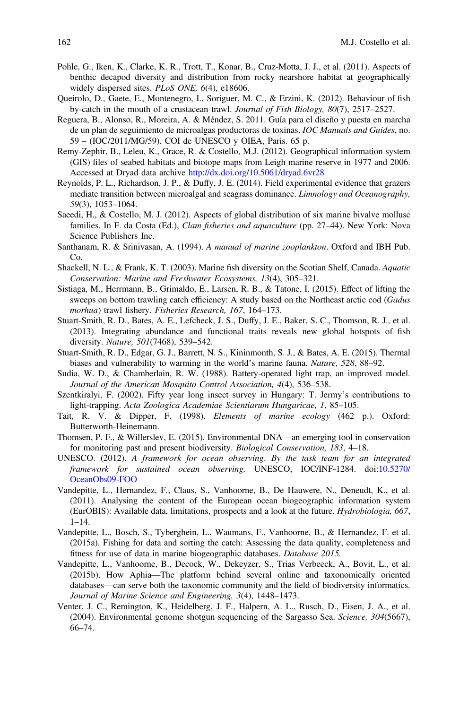- <span id="page-33-0"></span>Pohle, G., Iken, K., Clarke, K. R., Trott, T., Konar, B., Cruz-Motta, J. J., et al. (2011). Aspects of benthic decapod diversity and distribution from rocky nearshore habitat at geographically widely dispersed sites. PLoS ONE, 6(4), e18606.
- Queirolo, D., Gaete, E., Montenegro, I., Soriguer, M. C., & Erzini, K. (2012). Behaviour of fish by-catch in the mouth of a crustacean trawl. Journal of Fish Biology, 80(7), 2517–2527.
- Reguera, B., Alonso, R., Moreira, A. & Méndez, S. 2011. Guía para el diseño y puesta en marcha de un plan de seguimiento de microalgas productoras de toxinas. *IOC Manuals and Guides*, no. 59 – (IOC/2011/MG/59). COI de UNESCO y OIEA, Paris. 65 p.
- Remy-Zephir, B., Leleu, K., Grace, R. & Costello, M.J. (2012). Geographical information system (GIS) files of seabed habitats and biotope maps from Leigh marine reserve in 1977 and 2006. Accessed at Dryad data archive <http://dx.doi.org/10.5061/dryad.6vr28>
- Reynolds, P. L., Richardson, J. P., & Duffy, J. E. (2014). Field experimental evidence that grazers mediate transition between microalgal and seagrass dominance. Limnology and Oceanography, 59(3), 1053–1064.
- Saeedi, H., & Costello, M. J. (2012). Aspects of global distribution of six marine bivalve mollusc families. In F. da Costa (Ed.), *Clam fisheries and aquaculture* (pp. 27–44). New York: Nova Science Publishers Inc.
- Santhanam, R. & Srinivasan, A. (1994). A manual of marine zooplankton. Oxford and IBH Pub.  $Co$
- Shackell, N. L., & Frank, K. T. (2003). Marine fish diversity on the Scotian Shelf, Canada. Aquatic Conservation: Marine and Freshwater Ecosystems, 13(4), 305–321.
- Sistiaga, M., Herrmann, B., Grimaldo, E., Larsen, R. B., & Tatone, I. (2015). Effect of lifting the sweeps on bottom trawling catch efficiency: A study based on the Northeast arctic cod (Gadus morhua) trawl fishery. Fisheries Research, 167, 164–173.
- Stuart-Smith, R. D., Bates, A. E., Lefcheck, J. S., Duffy, J. E., Baker, S. C., Thomson, R. J., et al. (2013). Integrating abundance and functional traits reveals new global hotspots of fish diversity. Nature, 501(7468), 539–542.
- Stuart-Smith, R. D., Edgar, G. J., Barrett, N. S., Kininmonth, S. J., & Bates, A. E. (2015). Thermal biases and vulnerability to warming in the world's marine fauna. Nature, 528, 88–92.
- Sudia, W. D., & Chamberlain, R. W. (1988). Battery-operated light trap, an improved model. Journal of the American Mosquito Control Association, 4(4), 536–538.
- Szentkiralyi, F. (2002). Fifty year long insect survey in Hungary: T. Jermy's contributions to light-trapping. Acta Zoologica Academiae Scientiarum Hungaricae, 1, 85–105.
- Tait, R. V. & Dipper, F. (1998). Elements of marine ecology (462 p.). Oxford: Butterworth-Heinemann.
- Thomsen, P. F., & Willerslev, E. (2015). Environmental DNA—an emerging tool in conservation for monitoring past and present biodiversity. Biological Conservation, 183, 4–18.
- UNESCO. (2012). A framework for ocean observing. By the task team for an integrated framework for sustained ocean observing. UNESCO, IOC/INF-1284. doi:[10.5270/](http://dx.doi.org/10.5270/OceanObs09-FOO) [OceanObs09-FOO](http://dx.doi.org/10.5270/OceanObs09-FOO)
- Vandepitte, L., Hernandez, F., Claus, S., Vanhoorne, B., De Hauwere, N., Deneudt, K., et al. (2011). Analysing the content of the European ocean biogeographic information system (EurOBIS): Available data, limitations, prospects and a look at the future. Hydrobiologia, 667, 1–14.
- Vandepitte, L., Bosch, S., Tyberghein, L., Waumans, F., Vanhoorne, B., & Hernandez, F. et al. (2015a). Fishing for data and sorting the catch: Assessing the data quality, completeness and fitness for use of data in marine biogeographic databases. Database 2015.
- Vandepitte, L., Vanhoorne, B., Decock, W., Dekeyzer, S., Trias Verbeeck, A., Bovit, L., et al. (2015b). How Aphia—The platform behind several online and taxonomically oriented databases—can serve both the taxonomic community and the field of biodiversity informatics. Journal of Marine Science and Engineering, 3(4), 1448–1473.
- Venter, J. C., Remington, K., Heidelberg, J. F., Halpern, A. L., Rusch, D., Eisen, J. A., et al. (2004). Environmental genome shotgun sequencing of the Sargasso Sea. Science, 304(5667), 66–74.